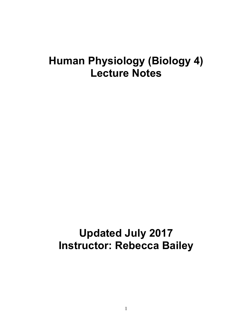## **Human Physiology (Biology 4) Lecture Notes**

# **Updated July 2017 Instructor: Rebecca Bailey**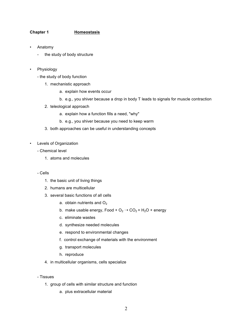## **Chapter 1 Homeostasis**

- Anatomy
	- the study of body structure
- **Physiology** 
	- the study of body function
		- 1. mechanistic approach
			- a. explain how events occur
			- b. e.g., you shiver because a drop in body T leads to signals for muscle contraction
		- 2. teleological approach
			- a. explain how a function fills a need, "why"
			- b. e.g., you shiver because you need to keep warm
		- 3. both approaches can be useful in understanding concepts
- Levels of Organization
	- Chemical level
		- 1. atoms and molecules
	- Cells
		- 1. the basic unit of living things
		- 2. humans are multicellular
		- 3. several basic functions of all cells
			- a. obtain nutrients and  $O<sub>2</sub>$
			- b. make usable energy, Food +  $O_2 \rightarrow CO_2 + H_2O$  + energy
			- c. eliminate wastes
			- d. synthesize needed molecules
			- e. respond to environmental changes
			- f. control exchange of materials with the environment
			- g. transport molecules
			- h. reproduce
		- 4. in multicellular organisms, cells specialize
	- Tissues
		- 1. group of cells with similar structure and function
			- a. plus extracellular material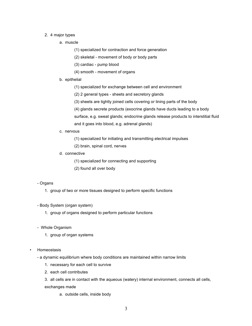#### 2. 4 major types

- a. muscle
	- (1) specialized for contraction and force generation
	- (2) skeletal movement of body or body parts
	- (3) cardiac pump blood
	- (4) smooth movement of organs
- b. epithelial
	- (1) specialized for exchange between cell and environment
	- (2) 2 general types sheets and secretory glands
	- (3) sheets are tightly joined cells covering or lining parts of the body
	- (4) glands secrete products (exocrine glands have ducts leading to a body
	- surface, e.g. sweat glands; endocrine glands release products to interstitial fluid and it goes into blood, e.g. adrenal glands)
- c. nervous
	- (1) specialized for initiating and transmitting electrical impulses
	- (2) brain, spinal cord, nerves
- d. connective
	- (1) specialized for connecting and supporting
	- (2) found all over body

#### - Organs

- 1. group of two or more tissues designed to perform specific functions
- Body System (organ system)
	- 1. group of organs designed to perform particular functions
- Whole Organism
	- 1. group of organ systems
- Homeostasis
	- a dynamic equilibrium where body conditions are maintained within narrow limits
		- 1. necessary for each cell to survive
		- 2. each cell contributes
		- 3. all cells are in contact with the aqueous (watery) internal environment, connects all cells, exchanges made
			- a. outside cells, inside body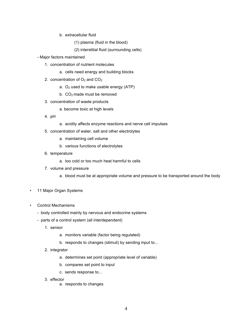- b. extracellular fluid
	- (1) plasma (fluid in the blood)
	- (2) interstitial fluid (surrounding cells)
- Major factors maintained
	- 1. concentration of nutrient molecules
		- a. cells need energy and building blocks
	- 2. concentration of  $O_2$  and  $CO_2$ 
		- a.  $O<sub>2</sub>$  used to make usable energy (ATP)
		- b.  $CO<sub>2</sub>$  made must be removed
	- 3. concentration of waste products
		- a. become toxic at high levels
	- 4. pH
- a. acidity affects enzyme reactions and nerve cell impulses
- 5. concentration of water, salt and other electrolytes
	- a. maintaining cell volume
	- b. various functions of electrolytes
- 6. temperature
	- a. too cold or too much heat harmful to cells
- 7. volume and pressure
	- a. blood must be at appropriate volume and pressure to be transported around the body
- 11 Major Organ Systems
- Control Mechanisms
	- body controlled mainly by nervous and endocrine systems
	- parts of a control system (all interdependent)
		- 1. sensor
			- a. monitors variable (factor being regulated)
			- b. responds to changes (stimuli) by sending input to...
		- 2. integrator
			- a. determines set point (appropriate level of variable)
			- b. compares set point to input
			- c. sends response to...
		- 3. effector
			- a. responds to changes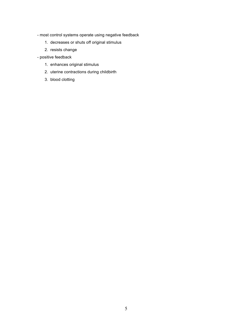- most control systems operate using negative feedback
	- 1. decreases or shuts off original stimulus
	- 2. resists change
- positive feedback
	- 1. enhances original stimulus
	- 2. uterine contractions during childbirth
	- 3. blood clotting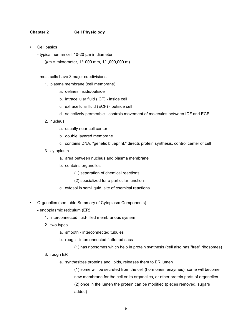## **Chapter 2 Cell Physiology**

- Cell basics
	- typical human cell 10-20  $\mu$ m in diameter
		- $(\mu m =$  micrometer, 1/1000 mm, 1/1,000,000 m)
	- most cells have 3 major subdivisions
		- 1. plasma membrane (cell membrane)
			- a. defines inside/outside
			- b. intracellular fluid (ICF) inside cell
			- c. extracellular fluid (ECF) outside cell
			- d. selectively permeable controls movement of molecules between ICF and ECF
		- 2. nucleus
			- a. usually near cell center
			- b. double layered membrane
			- c. contains DNA, "genetic blueprint," directs protein synthesis, control center of cell
		- 3. cytoplasm
			- a. area between nucleus and plasma membrane
			- b. contains organelles
				- (1) separation of chemical reactions
				- (2) specialized for a particular function
			- c. cytosol is semiliquid, site of chemical reactions
- Organelles (see table Summary of Cytoplasm Components)
	- endoplasmic reticulum (ER)
		- 1. interconnected fluid-filled membranous system
		- 2. two types
			- a. smooth interconnected tubules
			- b. rough interconnected flattened sacs
				- (1) has ribosomes which help in protein synthesis (cell also has "free" ribosomes)
		- 3. rough ER
			- a. synthesizes proteins and lipids, releases them to ER lumen

(1) some will be secreted from the cell (hormones, enzymes), some will become new membrane for the cell or its organelles, or other protein parts of organelles (2) once in the lumen the protein can be modified (pieces removed, sugars added)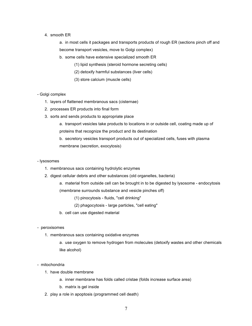#### 4. smooth ER

a. in most cells it packages and transports products of rough ER (sections pinch off and become transport vesicles, move to Golgi complex)

b. some cells have extensive specialized smooth ER

(1) lipid synthesis (steroid hormone secreting cells)

- (2) detoxify harmful substances (liver cells)
- (3) store calcium (muscle cells)

#### - Golgi complex

- 1. layers of flattened membranous sacs (cisternae)
- 2. processes ER products into final form
- 3. sorts and sends products to appropriate place
	- a. transport vesicles take products to locations in or outside cell, coating made up of proteins that recognize the product and its destination
	- b. secretory vesicles transport products out of specialized cells, fuses with plasma membrane (secretion, exocytosis)

#### - lysosomes

- 1. membranous sacs containing hydrolytic enzymes
- 2. digest cellular debris and other substances (old organelles, bacteria)
	- a. material from outside cell can be brought in to be digested by lysosome endocytosis

(membrane surrounds substance and vesicle pinches off)

- (1) pinocytosis fluids, "cell drinking"
- (2) phagocytosis large particles, "cell eating"
- b. cell can use digested material
- peroxisomes
	- 1. membranous sacs containing oxidative enzymes
		- a. use oxygen to remove hydrogen from molecules (detoxify wastes and other chemicals like alcohol)
- mitochondria
	- 1. have double membrane
		- a. inner membrane has folds called cristae (folds increase surface area)
		- b. matrix is gel inside
	- 2. play a role in apoptosis (programmed cell death)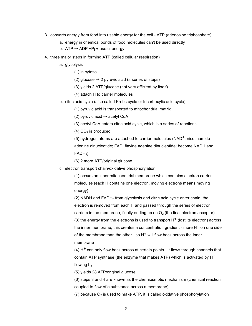- 3. converts energy from food into usable energy for the cell ATP (adenosine triphosphate)
	- a. energy in chemical bonds of food molecules can't be used directly
	- b. ATP  $\rightarrow$  ADP +P<sub>i</sub> + useful energy
- 4. three major steps in forming ATP (called cellular respiration)
	- a. glycolysis
		- (1) in cytosol

(2) glucose  $\rightarrow$  2 pyruvic acid (a series of steps)

- (3) yields 2 ATP/glucose (not very efficient by itself)
- (4) attach H to carrier molecules
- b. citric acid cycle (also called Krebs cycle or tricarboxylic acid cycle)
	- (1) pyruvic acid is transported to mitochondrial matrix

(2) pyruvic acid  $\rightarrow$  acetyl CoA

- (3) acetyl CoA enters citric acid cycle, which is a series of reactions
- $(4)$  CO<sub>2</sub> is produced

(5) hydrogen atoms are attached to carrier molecules  $(NAD<sup>+</sup>)$ , nicotinamide adenine dinucleotide; FAD, flavine adenine dinucleotide; become NADH and  $FADH<sub>2</sub>$ )

(6) 2 more ATP/original glucose

c. electron transport chain/oxidative phosphorylation

(1) occurs on inner mitochondrial membrane which contains electron carrier molecules (each H contains one electron, moving electrons means moving energy)

(2) NADH and  $FADH<sub>2</sub>$  from glycolysis and citric acid cycle enter chain, the electron is removed from each H and passed through the series of electron carriers in the membrane, finally ending up on  $O<sub>2</sub>$  (the final electron acceptor) (3) the energy from the electrons is used to transport  $H^+$  (lost its electron) across the inner membrane; this creates a concentration gradient - more  $H^+$  on one side of the membrane than the other - so  $H<sup>+</sup>$  will flow back across the inner membrane

(4)  $H^+$  can only flow back across at certain points - it flows through channels that contain ATP synthase (the enzyme that makes ATP) which is activated by  $H^+$ flowing by

(5) yields 28 ATP/original glucose

(6) steps 3 and 4 are known as the chemiosmotic mechanism (chemical reaction coupled to flow of a substance across a membrane)

(7) because  $O_2$  is used to make ATP, it is called oxidative phosphorylation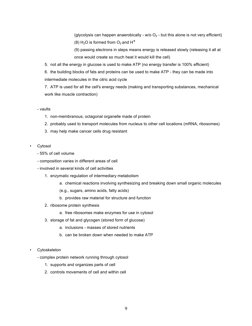(glycolysis can happen anaerobically - w/o  $O<sub>2</sub>$  - but this alone is not very efficient) (8) H<sub>2</sub>O is formed from  $O_2$  and H<sup>+</sup>

(9) passing electrons in steps means energy is released slowly (releasing it all at once would create so much heat it would kill the cell)

5. not all the energy in glucose is used to make ATP (no energy transfer is 100% efficient)

6. the building blocks of fats and proteins can be used to make ATP - they can be made into intermediate molecules in the citric acid cycle

7. ATP is used for all the cell's energy needs (making and transporting substances, mechanical work like muscle contraction)

#### - vaults

- 1. non-membranous, octagonal organelle made of protein
- 2. probably used to transport molecules from nucleus to other cell locations (mRNA, ribosomes)
- 3. may help make cancer cells drug resistant
- Cytosol
	- 55% of cell volume
	- composition varies in different areas of cell
	- involved in several kinds of cell activities
		- 1. enzymatic regulation of intermediary metabolism
			- a. chemical reactions involving synthesizing and breaking down small organic molecules
			- (e.g., sugars, amino acids, fatty acids)
			- b. provides raw material for structure and function
		- 2. ribosome protein synthesis
			- a. free ribosomes make enzymes for use in cytosol
		- 3. storage of fat and glycogen (stored form of glucose)
			- a. inclusions masses of stored nutrients
			- b. can be broken down when needed to make ATP
- **Cytoskeleton** 
	- complex protein network running through cytosol
		- 1. supports and organizes parts of cell
		- 2. controls movements of cell and within cell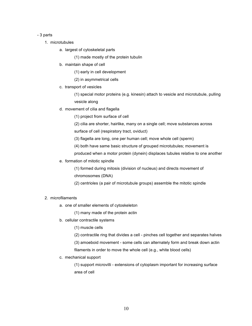#### - 3 parts

- 1. microtubules
	- a. largest of cytoskeletal parts

(1) made mostly of the protein tubulin

- b. maintain shape of cell
	- (1) early in cell development
	- (2) in asymmetrical cells
- c. transport of vesicles

(1) special motor proteins (e.g. kinesin) attach to vesicle and microtubule, pulling vesicle along

d. movement of cilia and flagella

(1) project from surface of cell

(2) cilia are shorter, hairlike, many on a single cell; move substances across

surface of cell (respiratory tract, oviduct)

(3) flagella are long, one per human cell; move whole cell (sperm)

(4) both have same basic structure of grouped microtubules; movement is

- produced when a motor protein (dynein) displaces tubules relative to one another
- e. formation of mitotic spindle

(1) formed during mitosis (division of nucleus) and directs movement of chromosomes (DNA)

(2) centrioles (a pair of microtubule groups) assemble the mitotic spindle

## 2. microfilaments

a. one of smaller elements of cytoskeleton

(1) many made of the protein actin

b. cellular contractile systems

(1) muscle cells

(2) contractile ring that divides a cell - pinches cell together and separates halves

(3) amoeboid movement - some cells can alternately form and break down actin

filaments in order to move the whole cell (e.g., white blood cells)

c. mechanical support

(1) support microvilli - extensions of cytoplasm important for increasing surface area of cell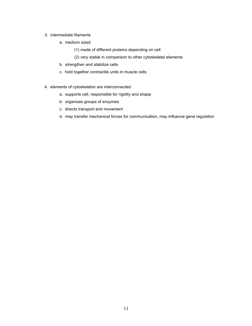#### 3. intermediate filaments

- a. medium sized
	- (1) made of different proteins depending on cell
	- (2) very stable in comparison to other cytoskeletal elements
- b. strengthen and stabilize cells
- c. hold together contractile units in muscle cells
- 4. elements of cytoskeleton are interconnected
	- a. supports cell, responsible for rigidity and shape
	- b. organizes groups of enzymes
	- c. directs transport and movement
	- d. may transfer mechanical forces for communication, may influence gene regulation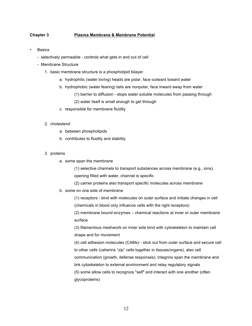## **Chapter 3 Plasma Membrane & Membrane Potential**

- **Basics** 
	- selectively permeable controls what gets in and out of cell
	- Membrane Structure
		- 1. basic membrane structure is a phospholipid bilayer
			- a. hydrophilic (water loving) heads are polar, face outward toward water
			- b. hydrophobic (water fearing) tails are nonpolar, face inward away from water
				- (1) barrier to diffusion stops water soluble molecules from passing through
				- (2) water itself is small enough to get through
			- c. responsible for membrane fluidity

#### 2. cholesterol

- a. between phospholipids
- b. contributes to fluidity and stability
- 3. proteins
	- a. some span the membrane

(1) selective channels to transport substances across membrane (e.g., ions),

opening filled with water, channel is specific

- (2) carrier proteins also transport specific molecules across membrane
- b. some on one side of membrane

(1) receptors - bind with molecules on outer surface and initiate changes in cell (chemicals in blood only influence cells with the right receptors)

(2) membrane bound enzymes – chemical reactions at inner or outer membrane surface

(3) filamentous meshwork on inner side bind with cytoskeleton to maintain cell shape and for movement

(4) cell adhesion molecules (CAMs) - stick out from outer surface and secure cell to other cells (caherins "zip" cells together in tissues/organs), also cell communication (growth, defense responses), integrins span the membrane and link cytoskeleton to external environment and relay regulatory signals (5) some allow cells to recognize "self" and interact with one another (often glycoproteins)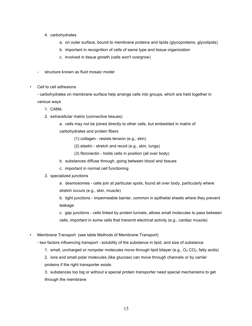- 4. carbohydrates
	- a. on outer surface, bound to membrane proteins and lipids (glycoproteins, glycolipids)
	- b. important in recognition of cells of same type and tissue organization
	- c. involved in tissue growth (cells won't overgrow)
- structure known as fluid mosaic model
- Cell to cell adhesions

- carbohydrates on membrane surface help arrange cells into groups, which are held together in various ways

- 1. CAMs
- 2. extracellular matrix (connective tissues)
	- a. cells may not be joined directly to other cells, but embedded in matrix of

carbohydrates and protein fibers

- (1) collagen resists tension (e.g., skin)
- (2) elastin stretch and recoil (e.g., skin, lungs)
- (3) fibronectin holds cells in position (all over body)
- b. substances diffuse through, going between blood and tissues
- c. important in normal cell functioning
- 3. specialized junctions
	- a. desmosomes cells join at particular spots, found all over body, particularly where stretch occurs (e.g., skin, muscle)

b. tight junctions - impermeable barrier, common in epithelial sheets where they prevent leakage

c. gap junctions - cells linked by protein tunnels, allows small molecules to pass between cells, important in some cells that transmit electrical activity (e.g., cardiac muscle)

• Membrane Transport (see table Methods of Membrane Transport)

- two factors influencing transport - solubility of the substance in lipid, and size of substance

- 1. small, uncharged or nonpolar molecules move through lipid bilayer (e.g.,  $O_2$  CO<sub>2</sub>, fatty acids)
- 2. ions and small polar molecules (like glucose) can move through channels or by carrier
- proteins if the right transporter exists

3. substances too big or without a special protein transporter need special mechanisms to get through the membrane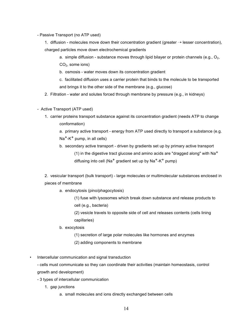- Passive Transport (no ATP used)
	- 1. diffusion molecules move down their concentration gradient (greater  $\rightarrow$  lesser concentration), charged particles move down electrochemical gradients
		- a. simple diffusion substance moves through lipid bilayer or protein channels (e.g.,  $O_2$ ,  $CO<sub>2</sub>$ , some ions)
		- b. osmosis water moves down its concentration gradient
		- c. facilitated diffusion uses a carrier protein that binds to the molecule to be transported and brings it to the other side of the membrane (e.g., glucose)
	- 2. Filtration water and solutes forced through membrane by pressure (e.g., in kidneys)
- Active Transport (ATP used)
	- 1. carrier proteins transport substance against its concentration gradient (needs ATP to change conformation)

a. primary active transport - energy from ATP used directly to transport a substance (e.g.  $Na<sup>+</sup>-K<sup>+</sup>$  pump, in all cells)

b. secondary active transport - driven by gradients set up by primary active transport (1) in the digestive tract glucose and amino acids are "dragged along" with  $Na<sup>+</sup>$ diffusing into cell (Na<sup>+</sup> gradient set up by Na<sup>+</sup>-K<sup>+</sup> pump)

2. vesicular transport (bulk transport) - large molecules or multimolecular substances enclosed in pieces of membrane

a. endocytosis (pino/phagocytosis)

(1) fuse with lysosomes which break down substance and release products to cell (e.g., bacteria)

(2) vesicle travels to opposite side of cell and releases contents (cells lining capillaries)

- b. exocytosis
	- (1) secretion of large polar molecules like hormones and enzymes
	- (2) adding components to membrane
- Intercellular communication and signal transduction

- cells must communicate so they can coordinate their activities (maintain homeostasis, control growth and development)

- 3 types of intercellular communication
	- 1. gap junctions
		- a. small molecules and ions directly exchanged between cells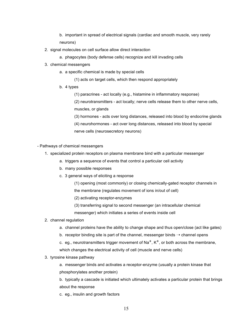- b. important in spread of electrical signals (cardiac and smooth muscle, very rarely neurons)
- 2. signal molecules on cell surface allow direct interaction
	- a. phagocytes (body defense cells) recognize and kill invading cells
- 3. chemical messengers
	- a. a specific chemical is made by special cells
		- (1) acts on target cells, which then respond appropriately
	- b. 4 types
		- (1) paracrines act locally (e.g., histamine in inflammatory response)

(2) neurotransmitters - act locally; nerve cells release them to other nerve cells, muscles, or glands

(3) hormones - acts over long distances, released into blood by endocrine glands (4) neurohormones - act over long distances, released into blood by special nerve cells (neurosecretory neurons)

- Pathways of chemical messengers

- 1. specialized protein receptors on plasma membrane bind with a particular messenger
	- a. triggers a sequence of events that control a particular cell activity
	- b. many possible responses
	- c. 3 general ways of eliciting a response
		- (1) opening (most commonly) or closing chemically-gated receptor channels in
		- the membrane (regulates movement of ions in/out of cell)
		- (2) activating receptor-enzymes
		- (3) transferring signal to second messenger (an intracellular chemical
		- messenger) which initiates a series of events inside cell
- 2. channel regulation
	- a. channel proteins have the ability to change shape and thus open/close (act like gates)
	- b. receptor binding site is part of the channel, messenger binds  $\rightarrow$  channel opens
	- c. eg., neurotransmitters trigger movement of  $\text{Na}^+$ , K<sup>+</sup>, or both across the membrane, which changes the electrical activity of cell (muscle and nerve cells)
- 3. tyrosine kinase pathway

a. messenger binds and activates a receptor-enzyme (usually a protein kinase that phosphorylates another protein)

b. typically a cascade is initiated which ultimately activates a particular protein that brings about the response

c. eg., insulin and growth factors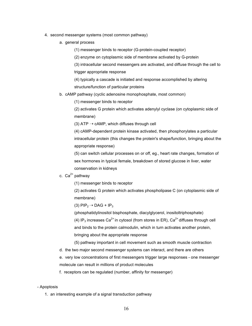- 4. second messenger systems (most common pathway)
	- a. general process
		- (1) messenger binds to receptor (G-protein-coupled receptor)
		- (2) enzyme on cytoplasmic side of membrane activated by G-protein

(3) intracellular second messengers are activated, and diffuse through the cell to trigger appropriate response

(4) typically a cascade is initiated and response accomplished by altering structure/function of particular proteins

b. cAMP pathway (cyclic adenosine monophosphate, most common)

(1) messenger binds to receptor

(2) activates G protein which activates adenylyl cyclase (on cytoplasmic side of membrane)

(3) ATP  $\rightarrow$  cAMP, which diffuses through cell

(4) cAMP-dependent protein kinase activated, then phosphorylates a particular intracellular protein (this changes the protein's shape/function, bringing about the appropriate response)

(5) can switch cellular processes on or off, eg., heart rate changes, formation of sex hormones in typical female, breakdown of stored glucose in liver, water conservation in kidneys

## c.  $Ca^{2+}$  pathway

(1) messenger binds to receptor

(2) activates G protein which activates phospholipase C (on cytoplasmic side of membrane)

(3)  $\text{PIP}_2 \rightarrow \text{DAG} + \text{IP}_3$ 

(phosphatidylinositol bisphosphate, diacylglycerol, inositoltriphosphate) (4) IP<sub>3</sub> increases Ca<sup>2+</sup> in cytosol (from stores in ER), Ca<sup>2+</sup> diffuses through cell and binds to the protein calmodulin, which in turn activates another protein, bringing about the appropriate response

(5) pathway important in cell movement such as smooth muscle contraction

d. the two major second messenger systems can interact, and there are others

e. very low concentrations of first messengers trigger large responses - one messenger molecule can result in millions of product molecules

f. receptors can be regulated (number, affinity for messenger)

#### - Apoptosis

1. an interesting example of a signal transduction pathway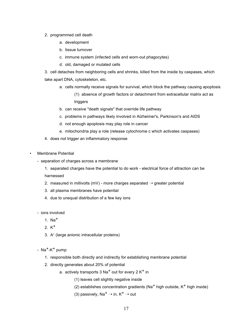- 2. programmed cell death
	- a. development
	- b. tissue turnover
	- c. immune system (infected cells and worn-out phagocytes)
	- d. old, damaged or mutated cells

3. cell detaches from neighboring cells and shrinks, killed from the inside by caspases, which take apart DNA, cytoskeleton, etc.

- a. cells normally receive signals for survival, which block the pathway causing apoptosis (1) absence of growth factors or detachment from extracellular matrix act as triggers
- b. can receive "death signals" that override life pathway
- c. problems in pathways likely involved in Alzheimer's, Parkinson's and AIDS
- d. not enough apoptosis may play role in cancer
- e. mitochondria play a role (release cytochrome c which activates caspases)
- 4. does not trigger an inflammatory response
- Membrane Potential
	- separation of charges across a membrane
		- 1. separated charges have the potential to do work electrical force of attraction can be harnessed
		- 2. measured in millivolts (mV) more charges separated  $\rightarrow$  greater potential
		- 3. all plasma membranes have potential
		- 4. due to unequal distribution of a few key ions
	- ions involved
		- 1. Na+
		- 2  $K^+$
		- 3. A<sup>-</sup> (large anionic intracellular proteins)
	- $Na^+$ -K<sup>+</sup> pump
		- 1. responsible both directly and indirectly for establishing membrane potential
		- 2. directly generates about 20% of potential
			- a. actively transports  $3$  Na<sup>+</sup> out for every  $2K^+$  in
				- (1) leaves cell slightly negative inside
				- (2) establishes concentration gradients (Na<sup>+</sup> high outside,  $K^+$  high inside)
				- (3) passively, Na<sup>+</sup>  $\rightarrow$  in, K<sup>+</sup>  $\rightarrow$  out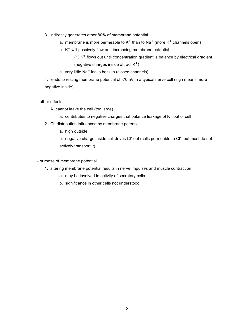- 3. indirectly generates other 80% of membrane potential
	- a. membrane is more permeable to  $K^+$  than to Na<sup>+</sup> (more  $K^+$  channels open)
	- b.  $K^+$  will passively flow out, increasing membrane potential

(1)  $K^+$  flows out until concentration gradient is balance by electrical gradient (negative charges inside attract  $K^+$ )

c. very little  $Na<sup>+</sup>$  leaks back in (closed channels)

4. leads to resting membrane potential of -70mV in a typical nerve cell (sign means more negative inside)

## - other effects

- 1. A<sup>-</sup> cannot leave the cell (too large)
	- a. contributes to negative charges that balance leakage of  $K^+$  out of cell
- 2. Cl<sup>-</sup> distribution influenced by membrane potential
	- a. high outside

b. negative charge inside cell drives Cl<sup>-</sup> out (cells permeable to Cl<sup>-</sup>, but most do not actively transport it)

- purpose of membrane potential
	- 1. altering membrane potential results in nerve impulses and muscle contraction
		- a. may be involved in activity of secretory cells
		- b. significance in other cells not understood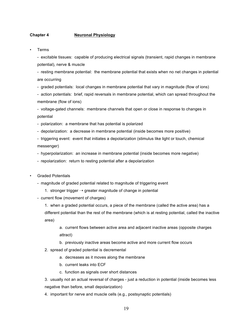#### **Chapter 4 Neuronal Physiology**

**Terms** 

- excitable tissues: capable of producing electrical signals (transient, rapid changes in membrane potential), nerve & muscle

- resting membrane potential: the membrane potential that exists when no net changes in potential are occurring

- graded potentials: local changes in membrane potential that vary in magnitude (flow of ions)

- action potentials: brief, rapid reversals in membrane potential, which can spread throughout the membrane (flow of ions)

- voltage-gated channels: membrane channels that open or close in response to changes in potential

- polarization: a membrane that has potential is polarized

- depolarization: a decrease in membrane potential (inside becomes more positive)

- triggering event: event that initiates a depolarization (stimulus like light or touch, chemical messenger)

- hyperpolarization: an increase in membrane potential (inside becomes more negative)

- repolarization: return to resting potential after a depolarization

- Graded Potentials
	- magnitude of graded potential related to magnitude of triggering event
		- 1. stronger trigger  $\rightarrow$  greater magnitude of change in potential
	- current flow (movement of charges)

1. when a graded potential occurs, a piece of the membrane (called the active area) has a different potential than the rest of the membrane (which is at resting potential, called the inactive area)

a. current flows between active area and adjacent inactive areas (opposite charges attract)

b. previously inactive areas become active and more current flow occurs

- 2. spread of graded potential is decremental
	- a. decreases as it moves along the membrane
	- b. current leaks into ECF
	- c. function as signals over short distances

3. usually not an actual reversal of charges - just a reduction in potential (inside becomes less negative than before, small depolarization)

4. important for nerve and muscle cells (e.g., postsynaptic potentials)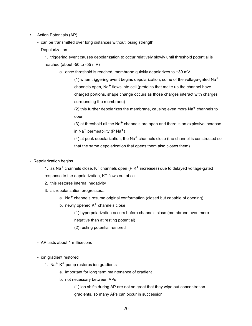- Action Potentials (AP)
	- can be transmitted over long distances without losing strength
	- Depolarization

1. triggering event causes depolarization to occur relatively slowly until threshold potential is reached (about -50 to -55 mV)

a. once threshold is reached, membrane quickly depolarizes to +30 mV

(1) when triggering event begins depolarization, some of the voltage-gated  $Na<sup>+</sup>$ channels open,  $Na<sup>+</sup>$  flows into cell (proteins that make up the channel have charged portions, shape change occurs as those charges interact with charges surrounding the membrane)

(2) this further depolarizes the membrane, causing even more  $\text{Na}^+$  channels to open

(3) at threshold all the Na<sup>+</sup> channels are open and there is an explosive increase in Na<sup>+</sup> permeability (P Na<sup>+</sup>)

(4) at peak depolarization, the Na<sup>+</sup> channels close (the channel is constructed so that the same depolarization that opens them also closes them)

- Repolarization begins

1. as Na<sup>+</sup> channels close, K<sup>+</sup> channels open (P K<sup>+</sup> increases) due to delayed voltage-gated response to the depolarization,  $K^+$  flows out of cell

- 2. this restores internal negativity
- 3. as repolarization progresses...
	- a. Na<sup>+</sup> channels resume original conformation (closed but capable of opening)
	- b. newly opened  $K^+$  channels close

(1) hyperpolarization occurs before channels close (membrane even more negative than at resting potential)

- (2) resting potential restored
- AP lasts about 1 millisecond
- ion gradient restored
	- 1. Na<sup>+</sup>-K<sup>+</sup> pump restores ion gradients
		- a. important for long term maintenance of gradient
		- b. not necessary between APs

(1) ion shifts during AP are not so great that they wipe out concentration gradients, so many APs can occur in succession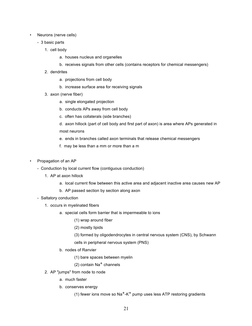- Neurons (nerve cells)
	- 3 basic parts
		- 1. cell body
			- a. houses nucleus and organelles
			- b. receives signals from other cells (contains receptors for chemical messengers)
		- 2. dendrites
			- a. projections from cell body
			- b. increase surface area for receiving signals
		- 3. axon (nerve fiber)
			- a. single elongated projection
			- b. conducts APs away from cell body
			- c. often has collaterals (side branches)
			- d. axon hillock (part of cell body and first part of axon) is area where APs generated in most neurons
			- e. ends in branches called axon terminals that release chemical messengers
			- f. may be less than a mm or more than a m
- Propagation of an AP
	- Conduction by local current flow (contiguous conduction)
		- 1. AP at axon hillock
			- a. local current flow between this active area and adjacent inactive area causes new AP
			- b. AP passed section by section along axon
	- Saltatory conduction
		- 1. occurs in myelinated fibers
			- a. special cells form barrier that is impermeable to ions
				- (1) wrap around fiber
				- (2) mostly lipids
				- (3) formed by oligodendrocytes in central nervous system (CNS), by Schwann
				- cells in peripheral nervous system (PNS)
			- b. nodes of Ranvier
				- (1) bare spaces between myelin
				- $(2)$  contain Na<sup>+</sup> channels
		- 2. AP "jumps" from node to node
			- a. much faster
			- b. conserves energy
				- (1) fewer ions move so Na<sup>+</sup>-K<sup>+</sup> pump uses less ATP restoring gradients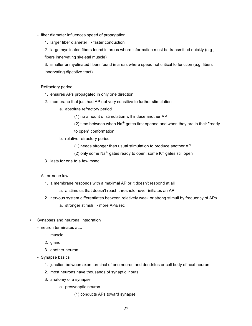- fiber diameter influences speed of propagation
	- 1. larger fiber diameter  $\rightarrow$  faster conduction

2. large myelinated fibers found in areas where information must be transmitted quickly (e.g., fibers innervating skeletal muscle)

3. smaller unmyelinated fibers found in areas where speed not critical to function (e.g. fibers innervating digestive tract)

- Refractory period
	- 1. ensures APs propagated in only one direction
	- 2. membrane that just had AP not very sensitive to further stimulation
		- a. absolute refractory period

(1) no amount of stimulation will induce another AP

(2) time between when  $Na<sup>+</sup>$  gates first opened and when they are in their "ready

to open" conformation

- b. relative refractory period
	- (1) needs stronger than usual stimulation to produce another AP
	- (2) only some Na<sup>+</sup> gates ready to open, some  $K^+$  gates still open
- 3. lasts for one to a few msec
- All-or-none law
	- 1. a membrane responds with a maximal AP or it doesn't respond at all
		- a. a stimulus that doesn't reach threshold never initiates an AP
	- 2. nervous system differentiates between relatively weak or strong stimuli by frequency of APs
		- a. stronger stimuli  $\rightarrow$  more APs/sec
- Synapses and neuronal integration
	- neuron terminates at...
		- 1. muscle
		- 2. gland
		- 3. another neuron
	- Synapse basics
		- 1. junction between axon terminal of one neuron and dendrites or cell body of next neuron
		- 2. most neurons have thousands of synaptic inputs
		- 3. anatomy of a synapse
			- a. presynaptic neuron
				- (1) conducts APs toward synapse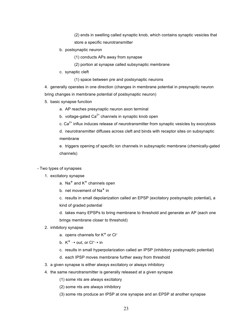(2) ends in swelling called synaptic knob, which contains synaptic vesicles that store a specific neurotransmitter

b. postsynaptic neuron

(1) conducts APs away from synapse

- (2) portion at synapse called subsynaptic membrane
- c. synaptic cleft
	- (1) space between pre and postsynaptic neurons

4. generally operates in one direction (changes in membrane potential in presynaptic neuron bring changes in membrane potential of postsynaptic neuron)

- 5. basic synapse function
	- a. AP reaches presynaptic neuron axon terminal
	- b. voltage-gated  $Ca<sup>2+</sup>$  channels in synaptic knob open
	- c.  $Ca<sup>2+</sup>$  influx induces release of neurotransmitter from synaptic vesicles by exocytosis

d. neurotransmitter diffuses across cleft and binds with receptor sites on subsynaptic membrane

e. triggers opening of specific ion channels in subsynaptic membrane (chemically-gated channels)

- Two types of synapses
	- 1. excitatory synapse
		- a. Na<sup>+</sup> and  $K^+$  channels open
		- b. net movement of Na<sup>+</sup> in

c. results in small depolarization called an EPSP (excitatory postsynaptic potential), a kind of graded potential

d. takes many EPSPs to bring membrane to threshold and generate an AP (each one brings membrane closer to threshold)

- 2. inhibitory synapse
	- a. opens channels for  $K^+$  or Cl<sup>-</sup>
	- b.  $K^+ \rightarrow$  out, or Cl<sup>-</sup> $\rightarrow$  in
	- c. results in small hyperpolarization called an IPSP (inhibitory postsynaptic potential)
	- d. each IPSP moves membrane further away from threshold
- 3. a given synapse is either always excitatory or always inhibitory
- 4. the same neurotransmitter is generally released at a given synapse
	- (1) some nts are always excitatory
	- (2) some nts are always inhibitory
	- (3) some nts produce an IPSP at one synapse and an EPSP at another synapse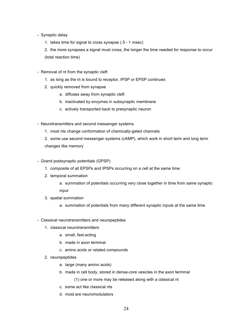- Synaptic delay
	- 1. takes time for signal to cross synapse (.5 1 msec)

2. the more synapses a signal must cross, the longer the time needed for response to occur (total reaction time)

- Removal of nt from the synaptic cleft
	- 1. as long as the nt is bound to receptor, IPSP or EPSP continues
	- 2. quickly removed from synapse
		- a. diffuses away from synaptic cleft
		- b. inactivated by enzymes in subsynaptic membrane
		- c. actively transported back to presynaptic neuron
- Neurotransmitters and second messenger systems
	- 1. most nts change conformation of chemically-gated channels

2. some use second messenger systems (cAMP), which work in short term and long term changes like memory

- Grand postsynaptic potentials (GPSP)
	- 1. composite of all EPSPs and IPSPs occurring on a cell at the same time
	- 2. temporal summation

a. summation of potentials occurring very close together in time from same synaptic input

- 3. spatial summation
	- a. summation of potentials from many different synaptic inputs at the same time
- Classical neurotransmitters and neuropeptides
	- 1. classical neurotransmitters
		- a. small, fast-acting
		- b. made in axon terminal
		- c. amino acids or related compounds
	- 2. neuropeptides
		- a. large (many amino acids)
		- b. made in cell body, stored in dense-core vesicles in the axon terminal

(1) one or more may be released along with a classical nt

- c. some act like classical nts
- d. most are neuromodulators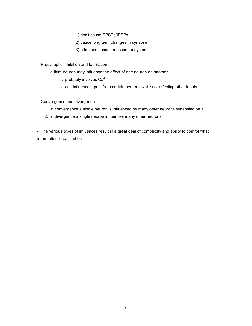- (1) don't cause EPSPs/IPSPs
- (2) cause long term changes in synapse
- (3) often use second messenger systems
- Presynaptic inhibition and facilitation
	- 1. a third neuron may influence the effect of one neuron on another
		- a. probably involves  $Ca^{2+}$
		- b. can influence inputs from certain neurons while not affecting other inputs
- Convergence and divergence
	- 1. in convergence a single neuron is influenced by many other neurons synapsing on it
	- 2. in divergence a single neuron influences many other neurons

- The various types of influences result in a great deal of complexity and ability to control what information is passed on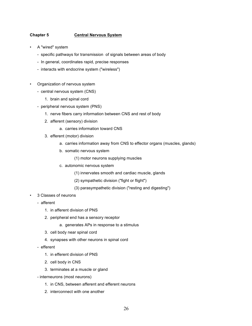## **Chapter 5 Central Nervous System**

- A "wired" system
	- specific pathways for transmission of signals between areas of body
	- In general, coordinates rapid, precise responses
	- interacts with endocrine system ("wireless")
- Organization of nervous system
	- central nervous system (CNS)
		- 1. brain and spinal cord
	- peripheral nervous system (PNS)
		- 1. nerve fibers carry information between CNS and rest of body
		- 2. afferent (sensory) division
			- a. carries information toward CNS
		- 3. efferent (motor) division
			- a. carries information away from CNS to effector organs (muscles, glands)
			- b. somatic nervous system
				- (1) motor neurons supplying muscles
			- c. autonomic nervous system
				- (1) innervates smooth and cardiac muscle, glands
				- (2) sympathetic division ("fight or flight")
				- (3) parasympathetic division ("resting and digesting")
- 3 Classes of neurons
	- afferent
		- 1. in afferent division of PNS
		- 2. peripheral end has a sensory receptor
			- a. generates APs in response to a stimulus
		- 3. cell body near spinal cord
		- 4. synapses with other neurons in spinal cord
	- efferent
		- 1. in efferent division of PNS
		- 2. cell body in CNS
		- 3. terminates at a muscle or gland
	- interneurons (most neurons)
		- 1. in CNS, between afferent and efferent neurons
		- 2. interconnect with one another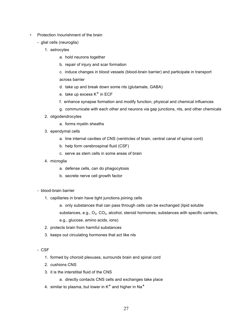- Protection /nourishment of the brain
	- glial cells (neuroglia)
		- 1. astrocytes
			- a. hold neurons together
			- b. repair of injury and scar formation

c. induce changes in blood vessels (blood-brain barrier) and participate in transport across barrier

- d. take up and break down some nts (glutamate, GABA)
- e. take up excess  $K^+$  in ECF
- f. enhance synapse formation and modify function, physical and chemical influences
- g. communicate with each other and neurons via gap junctions, nts, and other chemicals
- 2. oligodendrocytes
	- a. forms myelin sheaths
- 3. ependymal cells
	- a. line internal cavities of CNS (ventricles of brain, central canal of spinal cord)
	- b. help form cerebrospinal fluid (CSF)
	- c. serve as stem cells in some areas of brain
- 4. microglia
	- a. defense cells, can do phagocytosis
	- b. secrete nerve cell growth factor
- blood-brain barrier
	- 1. capillaries in brain have tight junctions joining cells
		- a. only substances that can pass through cells can be exchanged (lipid soluble
		- substances, e.g.,  $O_2$ ,  $CO_2$ , alcohol, steroid hormones; substances with specific carriers,

e.g., glucose, amino acids, ions)

- 2. protects brain from harmful substances
- 3. keeps out circulating hormones that act like nts

- CSF

- 1. formed by choroid plexuses, surrounds brain and spinal cord
- 2. cushions CNS
- 3. it is the interstitial fluid of the CNS
	- a. directly contacts CNS cells and exchanges take place
- 4. similar to plasma, but lower in  $K^+$  and higher in Na<sup>+</sup>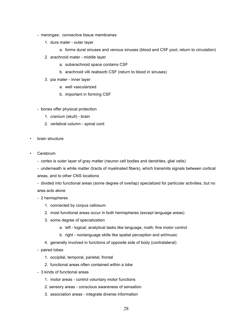- meninges: connective tissue membranes
	- 1. dura mater outer layer
		- a. forms dural sinuses and venous sinuses (blood and CSF pool, return to circulation)
	- 2. arachnoid mater middle layer
		- a. subarachnoid space contains CSF
		- b. arachnoid villi reabsorb CSF (return to blood in sinuses)
	- 3. pia mater inner layer
		- a. well vascularized
		- b. important in forming CSF
- bones offer physical protection
	- 1. cranium (skull) brain
	- 2. vertebral column spinal cord
- brain structure
- Cerebrum
	- cortex is outer layer of gray matter (neuron cell bodies and dendrites, glial cells)
	- underneath is white matter (tracts of myelinated fibers), which transmits signals between cortical
	- areas, and to other CNS locations
	- divided into functional areas (some degree of overlap) specialized for particular activities, but no area acts alone
	- 2 hemispheres
		- 1. connected by corpus callosum
		- 2. most functional areas occur in both hemispheres (except language areas)
		- 3. some degree of specialization
			- a. left logical, analytical tasks like language, math; fine motor control
			- b. right nonlanguage skills like spatial perception and art/music
		- 4. generally involved in functions of opposite side of body (contralateral)
	- paired lobes
		- 1. occipital, temporal, parietal, frontal
		- 2. functional areas often contained within a lobe
	- 3 kinds of functional areas
		- 1. motor areas control voluntary motor functions
		- 2. sensory areas conscious awareness of sensation
		- 3. association areas integrate diverse information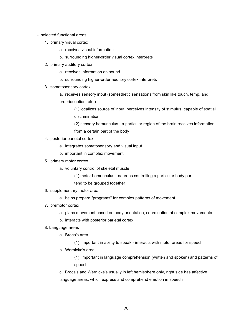- selected functional areas
	- 1. primary visual cortex
		- a. receives visual information
		- b. surrounding higher-order visual cortex interprets
	- 2. primary auditory cortex
		- a. receives information on sound
		- b. surrounding higher-order auditory cortex interprets
	- 3. somatosensory cortex
		- a. receives sensory input (somesthetic sensations from skin like touch, temp. and proprioception, etc.)

(1) localizes source of input, perceives intensity of stimulus, capable of spatial discrimination

(2) sensory homunculus - a particular region of the brain receives information from a certain part of the body

- 4. posterior parietal cortex
	- a. integrates somatosensory and visual input
	- b. important in complex movement
- 5. primary motor cortex
	- a. voluntary control of skeletal muscle
		- (1) motor homunculus neurons controlling a particular body part
		- tend to be grouped together
- 6. supplementary motor area
	- a. helps prepare "programs" for complex patterns of movement
- 7. premotor cortex
	- a. plans movement based on body orientation, coordination of complex movements
	- b. interacts with posterior parietal cortex
- 8. Language areas
	- a. Broca's area
		- (1) important in ability to speak interacts with motor areas for speech
	- b. Wernicke's area

(1) important in language comprehension (written and spoken) and patterns of speech

c. Broca's and Wernicke's usually in left hemisphere only, right side has affective language areas, which express and comprehend emotion in speech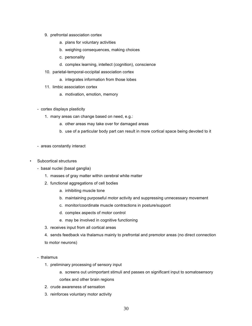- 9. prefrontal association cortex
	- a. plans for voluntary activities
	- b. weighing consequences, making choices
	- c. personality
	- d. complex learning, intellect (cognition), conscience
- 10. parietal-temporal-occipital association cortex
	- a. integrates information from those lobes
- 11. limbic association cortex
	- a. motivation, emotion, memory
- cortex displays plasticity
	- 1. many areas can change based on need, e.g.:
		- a. other areas may take over for damaged areas
		- b. use of a particular body part can result in more cortical space being devoted to it
- areas constantly interact
- Subcortical structures
	- basal nuclei (basal ganglia)
		- 1. masses of gray matter within cerebral white matter
		- 2. functional aggregations of cell bodies
			- a. inhibiting muscle tone
			- b. maintaining purposeful motor activity and suppressing unnecessary movement
			- c. monitor/coordinate muscle contractions in posture/support
			- d. complex aspects of motor control
			- e. may be involved in cognitive functioning
		- 3. receives input from all cortical areas

4. sends feedback via thalamus mainly to prefrontal and premotor areas (no direct connection to motor neurons)

- thalamus
	- 1. preliminary processing of sensory input
		- a. screens out unimportant stimuli and passes on significant input to somatosensory cortex and other brain regions
	- 2. crude awareness of sensation
	- 3. reinforces voluntary motor activity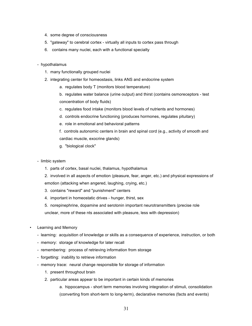- 4. some degree of consciousness
- 5. "gateway" to cerebral cortex virtually all inputs to cortex pass through
- 6. contains many nuclei, each with a functional specialty

#### - hypothalamus

- 1. many functionally grouped nuclei
- 2. integrating center for homeostasis, links ANS and endocrine system
	- a. regulates body T (monitors blood temperature)

b. regulates water balance (urine output) and thirst (contains osmoreceptors - test concentration of body fluids)

- c. regulates food intake (monitors blood levels of nutrients and hormones)
- d. controls endocrine functioning (produces hormones, regulates pituitary)
- e. role in emotional and behavioral patterns
- f. controls autonomic centers in brain and spinal cord (e.g., activity of smooth and cardiac muscle, exocrine glands)
- g. "biological clock"
- limbic system
	- 1. parts of cortex, basal nuclei, thalamus, hypothalamus
	- 2. involved in all aspects of emotion (pleasure, fear, anger, etc.) and physical expressions of emotion (attacking when angered, laughing, crying, etc.)
	- 3. contains "reward" and "punishment" centers
	- 4. important in homeostatic drives hunger, thirst, sex
	- 5. norepinephrine, dopamine and serotonin important neurotransmitters (precise role

unclear, more of these nts associated with pleasure, less with depression)

- Learning and Memory
	- learning: acquisition of knowledge or skills as a consequence of experience, instruction, or both
	- memory: storage of knowledge for later recall
	- remembering: process of retrieving information from storage
	- forgetting: inability to retrieve information
	- memory trace: neural change responsible for storage of information
		- 1. present throughout brain
		- 2. particular areas appear to be important in certain kinds of memories
			- a. hippocampus short term memories involving integration of stimuli, consolidation (converting from short-term to long-term), declarative memories (facts and events)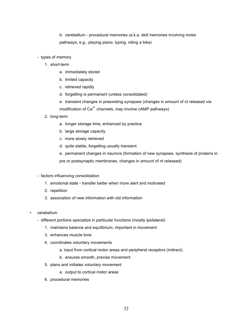b. cerebellum - procedural memories (a.k.a. skill memories involving motor pathways, e.g., playing piano, typing, riding a bike)

- types of memory
	- 1. short-term
		- a. immediately stored
		- b. limited capacity
		- c. retrieved rapidly
		- d. forgetting is permanent (unless consolidated)
		- e. transient changes in preexisting synapses (changes in amount of nt released via modification of  $Ca^{2+}$  channels, may involve cAMP pathways)
	- 2. long-term
		- a. longer storage time, enhanced by practice
		- b. large storage capacity
		- c. more slowly retrieved
		- d. quite stable, forgetting usually transient
		- e. permanent changes in neurons (formation of new synapses, synthesis of proteins in pre or postsynaptic membranes, changes in amount of nt released)
- factors influencing consolidation
	- 1. emotional state transfer better when more alert and motivated
	- 2. repetition
	- 3. association of new information with old information
- cerebellum
	- different portions specialize in particular functions (mostly ipsilateral)
		- 1. maintains balance and equilibrium, important in movement
		- 3. enhances muscle tone
		- 4. coordinates voluntary movements
			- a. input from cortical motor areas and peripheral receptors (indirect)
			- b. ensures smooth, precise movement
		- 5. plans and initiates voluntary movement
			- a. output to cortical motor areas
		- 6. procedural memories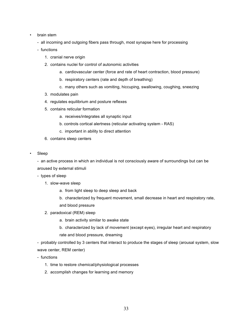- brain stem
	- all incoming and outgoing fibers pass through, most synapse here for processing
	- functions
		- 1. cranial nerve origin
		- 2. contains nuclei for control of autonomic activities
			- a. cardiovascular center (force and rate of heart contraction, blood pressure)
			- b. respiratory centers (rate and depth of breathing)
			- c. many others such as vomiting, hiccuping, swallowing, coughing, sneezing
		- 3. modulates pain
		- 4. regulates equilibrium and posture reflexes
		- 5. contains reticular formation
			- a. receives/integrates all synaptic input
			- b. controls cortical alertness (reticular activating system RAS)
			- c. important in ability to direct attention
		- 6. contains sleep centers
- Sleep

- an active process in which an individual is not consciously aware of surroundings but can be aroused by external stimuli

- types of sleep

- 1. slow-wave sleep
	- a. from light sleep to deep sleep and back
	- b. characterized by frequent movement, small decrease in heart and respiratory rate, and blood pressure
- 2. paradoxical (REM) sleep
	- a. brain activity similar to awake state
	- b. characterized by lack of movement (except eyes), irregular heart and respiratory rate and blood pressure, dreaming

- probably controlled by 3 centers that interact to produce the stages of sleep (arousal system, slow wave center, REM center)

- functions
	- 1. time to restore chemical/physiological processes
	- 2. accomplish changes for learning and memory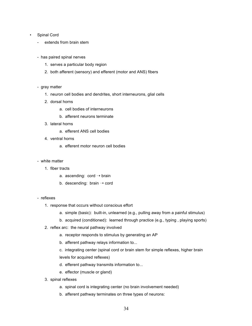#### Spinal Cord

- extends from brain stem
- has paired spinal nerves
	- 1. serves a particular body region
	- 2. both afferent (sensory) and efferent (motor and ANS) fibers
- gray matter
	- 1. neuron cell bodies and dendrites, short interneurons, glial cells
	- 2. dorsal horns
		- a. cell bodies of interneurons
		- b. afferent neurons terminate
	- 3. lateral horns
		- a. efferent ANS cell bodies
	- 4. ventral horns
		- a. efferent motor neuron cell bodies
- white matter
	- 1. fiber tracts
		- a. ascending:  $\text{cord} \rightarrow \text{brain}$
		- b. descending: brain  $\rightarrow$  cord
- reflexes
	- 1. response that occurs without conscious effort
		- a. simple (basic): built-in, unlearned (e.g., pulling away from a painful stimulus)
		- b. acquired (conditioned): learned through practice (e.g., typing , playing sports)
	- 2. reflex arc: the neural pathway involved
		- a. receptor responds to stimulus by generating an AP
		- b. afferent pathway relays information to...
		- c. integrating center (spinal cord or brain stem for simple reflexes, higher brain levels for acquired reflexes)
		- d. efferent pathway transmits information to...
		- e. effector (muscle or gland)
	- 3. spinal reflexes
		- a. spinal cord is integrating center (no brain involvement needed)
		- b. afferent pathway terminates on three types of neurons: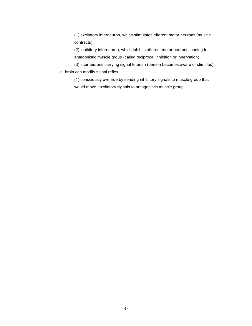(1) excitatory interneuron, which stimulates efferent motor neurons (muscle contracts)

(2) inhibitory interneuron, which inhibits efferent motor neurons leading to antagonistic muscle group (called reciprocal inhibition or innervation)

(3) interneurons carrying signal to brain (person becomes aware of stimulus)

c. brain can modify spinal reflex

(1) consciously override by sending inhibitory signals to muscle group that would move, excitatory signals to antagonistic muscle group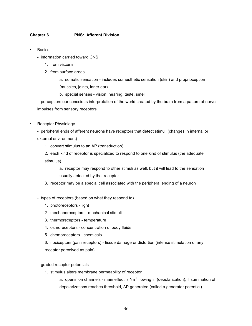## **Chapter 6 PNS: Afferent Division**

- **Basics** 
	- information carried toward CNS
		- 1. from viscera
		- 2. from surface areas
			- a. somatic sensation includes somesthetic sensation (skin) and proprioception (muscles, joints, inner ear)
			- b. special senses vision, hearing, taste, smell

- perception: our conscious interpretation of the world created by the brain from a pattern of nerve impulses from sensory receptors

• Receptor Physiology

- peripheral ends of afferent neurons have receptors that detect stimuli (changes in internal or external environment)

1. convert stimulus to an AP (transduction)

2. each kind of receptor is specialized to respond to one kind of stimulus (the adequate stimulus)

a. receptor may respond to other stimuli as well, but it will lead to the sensation usually detected by that receptor

- 3. receptor may be a special cell associated with the peripheral ending of a neuron
- types of receptors (based on what they respond to)
	- 1. photoreceptors light
	- 2. mechanoreceptors mechanical stimuli
	- 3. thermoreceptors temperature
	- 4. osmoreceptors concentration of body fluids
	- 5. chemoreceptors chemicals

6. nociceptors (pain receptors) - tissue damage or distortion (intense stimulation of any receptor perceived as pain)

- graded receptor potentials
	- 1. stimulus alters membrane permeability of receptor

a. opens ion channels - main effect is  $\text{Na}^+$  flowing in (depolarization), if summation of depolarizations reaches threshold, AP generated (called a generator potential)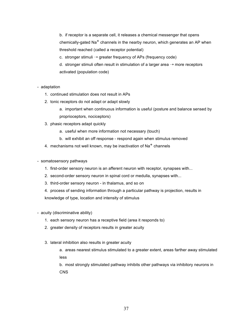b. if receptor is a separate cell, it releases a chemical messenger that opens chemically-gated Na<sup>+</sup> channels in the nearby neuron, which generates an AP when threshold reached (called a receptor potential)

c. stronger stimuli  $\rightarrow$  greater frequency of APs (frequency code)

d. stronger stimuli often result in stimulation of a larger area  $\rightarrow$  more receptors activated (population code)

- adaptation

- 1. continued stimulation does not result in APs
- 2. tonic receptors do not adapt or adapt slowly
	- a. important when continuous information is useful (posture and balance sensed by proprioceptors, nociceptors)
- 3. phasic receptors adapt quickly
	- a. useful when more information not necessary (touch)
	- b. will exhibit an off response respond again when stimulus removed
- 4. mechanisms not well known, may be inactivation of  $Na<sup>+</sup>$  channels
- somatosensory pathways
	- 1. first-order sensory neuron is an afferent neuron with receptor, synapses with...
	- 2. second-order sensory neuron in spinal cord or medulla, synapses with...
	- 3. third-order sensory neuron in thalamus, and so on
	- 4. process of sending information through a particular pathway is projection, results in knowledge of type, location and intensity of stimulus
- acuity (discriminative ability)
	- 1. each sensory neuron has a receptive field (area it responds to)
	- 2. greater density of receptors results in greater acuity
	- 3. lateral inhibition also results in greater acuity
		- a. areas nearest stimulus stimulated to a greater extent, areas farther away stimulated less

b. most strongly stimulated pathway inhibits other pathways via inhibitory neurons in **CNS**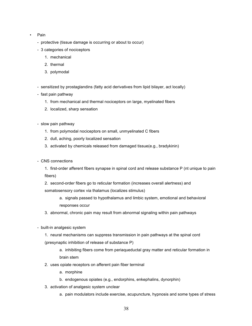- Pain
	- protective (tissue damage is occurring or about to occur)
	- 3 categories of nociceptors
		- 1. mechanical
		- 2. thermal
		- 3. polymodal
	- sensitized by prostaglandins (fatty acid derivatives from lipid bilayer, act locally)
	- fast pain pathway
		- 1. from mechanical and thermal nociceptors on large, myelinated fibers
		- 2. localized, sharp sensation
	- slow pain pathway
		- 1. from polymodal nociceptors on small, unmyelinated C fibers
		- 2. dull, aching, poorly localized sensation
		- 3. activated by chemicals released from damaged tissue(e.g., bradykinin)
	- CNS connections
		- 1. first-order afferent fibers synapse in spinal cord and release substance P (nt unique to pain fibers)
		- 2. second-order fibers go to reticular formation (increases overall alertness) and somatosensory cortex via thalamus (localizes stimulus)
			- a. signals passed to hypothalamus and limbic system, emotional and behavioral responses occur
		- 3. abnormal, chronic pain may result from abnormal signaling within pain pathways
	- built-in analgesic system
		- 1. neural mechanisms can suppress transmission in pain pathways at the spinal cord (presynaptic inhibition of release of substance P)
			- a. inhibiting fibers come from periaqueductal gray matter and reticular formation in brain stem
		- 2. uses opiate receptors on afferent pain fiber terminal
			- a. morphine
			- b. endogenous opiates (e.g., endorphins, enkephalins, dynorphin)
		- 3. activation of analgesic system unclear
			- a. pain modulators include exercise, acupuncture, hypnosis and some types of stress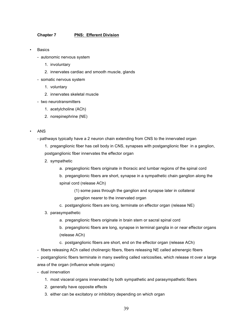## **Chapter 7 PNS: Efferent Division**

- **Basics** 
	- autonomic nervous system
		- 1. involuntary
		- 2. innervates cardiac and smooth muscle, glands
	- somatic nervous system
		- 1. voluntary
		- 2. innervates skeletal muscle
	- two neurotransmitters
		- 1. acetylcholine (ACh)
		- 2. norepinephrine (NE)
- ANS
	- pathways typically have a 2 neuron chain extending from CNS to the innervated organ
		- 1. preganglionic fiber has cell body in CNS, synapses with postganglionic fiber in a ganglion, postganglionic fiber innervates the effector organ
		- 2. sympathetic
			- a. preganglionic fibers originate in thoracic and lumbar regions of the spinal cord
			- b. preganglionic fibers are short, synapse in a sympathetic chain ganglion along the spinal cord (release ACh)
				- (1) some pass through the ganglion and synapse later in collateral ganglion nearer to the innervated organ
			- c. postganglionic fibers are long, terminate on effector organ (release NE)
		- 3. parasympathetic
			- a. preganglionic fibers originate in brain stem or sacral spinal cord
			- b. preganglionic fibers are long, synapse in terminal ganglia in or near effector organs (release ACh)
			- c. postganglionic fibers are short, end on the effector organ (release ACh)
	- fibers releasing ACh called cholinergic fibers, fibers releasing NE called adrenergic fibers
	- postganglionic fibers terminate in many swelling called varicosities, which release nt over a large area of the organ (influence whole organs)
	- dual innervation
		- 1. most visceral organs innervated by both sympathetic and parasympathetic fibers
		- 2. generally have opposite effects
		- 3. either can be excitatory or inhibitory depending on which organ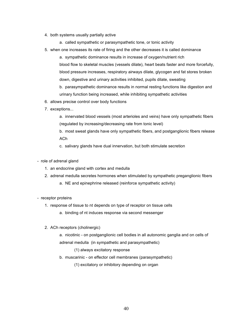- 4. both systems usually partially active
	- a. called sympathetic or parasympathetic tone, or tonic activity
- 5. when one increases its rate of firing and the other decreases it is called dominance

a. sympathetic dominance results in increase of oxygen/nutrient rich blood flow to skeletal muscles (vessels dilate), heart beats faster and more forcefully, blood pressure increases, respiratory airways dilate, glycogen and fat stores broken down, digestive and urinary activities inhibited, pupils dilate, sweating

b. parasympathetic dominance results in normal resting functions like digestion and urinary function being increased, while inhibiting sympathetic activities

- 6. allows precise control over body functions
- 7. exceptions...

a. innervated blood vessels (most arterioles and veins) have only sympathetic fibers (regulated by increasing/decreasing rate from tonic level)

b. most sweat glands have only sympathetic fibers, and postganglionic fibers release ACh

c. salivary glands have dual innervation, but both stimulate secretion

- role of adrenal gland
	- 1. an endocrine gland with cortex and medulla
	- 2. adrenal medulla secretes hormones when stimulated by sympathetic preganglionic fibers
		- a. NE and epinephrine released (reinforce sympathetic activity)
- receptor proteins
	- 1. response of tissue to nt depends on type of receptor on tissue cells
		- a. binding of nt induces response via second messenger
	- 2. ACh receptors (cholinergic)

a. nicotinic - on postganglionic cell bodies in all autonomic ganglia and on cells of adrenal medulla (in sympathetic and parasympathetic)

(1) always excitatory response

b. muscarinic - on effector cell membranes (parasympathetic)

(1) excitatory or inhibitory depending on organ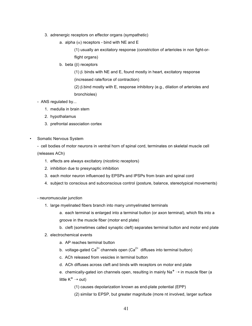- 3. adrenergic receptors on effector organs (sympathetic)
	- a. alpha  $(\alpha)$  receptors bind with NE and E

(1) usually an excitatory response (constriction of arterioles in non fight-orflight organs)

b. beta (β) receptors

(1)  $\beta$ , binds with NE and E, found mostly in heart, excitatory response (increased rate/force of contraction)

(2)  $\beta$ <sub>b</sub> bind mostly with E, response inhibitory (e.g., dilation of arterioles and bronchioles)

## - ANS regulated by...

- 1. medulla in brain stem
- 2. hypothalamus
- 3. prefrontal association cortex
- Somatic Nervous System

- cell bodies of motor neurons in ventral horn of spinal cord, terminates on skeletal muscle cell (releases ACh)

- 1. effects are always excitatory (nicotinic receptors)
- 2. inhibition due to presynaptic inhibition
- 3. each motor neuron influenced by EPSPs and IPSPs from brain and spinal cord
- 4. subject to conscious and subconscious control (posture, balance, stereotypical movements)
- neuromuscular junction
	- 1. large myelinated fibers branch into many unmyelinated terminals
		- a. each terminal is enlarged into a terminal button (or axon terminal), which fits into a groove in the muscle fiber (motor end plate)
		- b. cleft (sometimes called synaptic cleft) separates terminal button and motor end plate
	- 2. electrochemical events
		- a. AP reaches terminal button
		- b. voltage-gated  $Ca^{2+}$  channels open ( $Ca^{2+}$  diffuses into terminal button)
		- c. ACh released from vesicles in terminal button
		- d. ACh diffuses across cleft and binds with receptors on motor end plate
		- e. chemically-gated ion channels open, resulting in mainly  $\text{Na}^+ \rightarrow \text{in}$  muscle fiber (a little  $K^+ \rightarrow \text{out}$ 
			- (1) causes depolarization known as end-plate potential (EPP)
			- (2) similar to EPSP, but greater magnitude (more nt involved, larger surface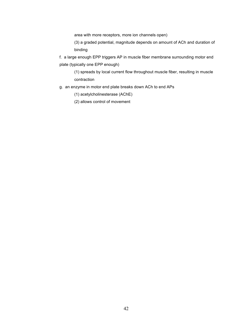area with more receptors, more ion channels open)

(3) a graded potential, magnitude depends on amount of ACh and duration of binding

f. a large enough EPP triggers AP in muscle fiber membrane surrounding motor end plate (typically one EPP enough)

(1) spreads by local current flow throughout muscle fiber, resulting in muscle contraction

- g. an enzyme in motor end plate breaks down ACh to end APs
	- (1) acetylcholinesterase (AChE)
	- (2) allows control of movement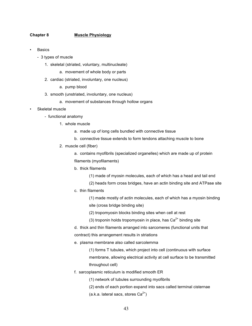## **Chapter 8 Muscle Physiology**

- **Basics** 
	- 3 types of muscle
		- 1. skeletal (striated, voluntary, multinucleate)
			- a. movement of whole body or parts
		- 2. cardiac (striated, involuntary, one nucleus)
			- a. pump blood
		- 3. smooth (unstriated, involuntary, one nucleus)
			- a. movement of substances through hollow organs
- Skeletal muscle
	- functional anatomy
		- 1. whole muscle
			- a. made up of long cells bundled with connective tissue
			- b. connective tissue extends to form tendons attaching muscle to bone
		- 2. muscle cell (fiber)
			- a. contains myofibrils (specialized organelles) which are made up of protein filaments (myofilaments)
			- b. thick filaments
				- (1) made of myosin molecules, each of which has a head and tail end
				- (2) heads form cross bridges, have an actin binding site and ATPase site
			- c. thin filaments

(1) made mostly of actin molecules, each of which has a myosin binding site (cross bridge binding site)

- (2) tropomyosin blocks binding sites when cell at rest
- (3) troponin holds tropomyosin in place, has  $Ca<sup>2+</sup>$  binding site

d. thick and thin filaments arranged into sarcomeres (functional units that contract) this arrangement results in striations

- e. plasma membrane also called sarcolemma
	- (1) forms T tubules, which project into cell (continuous with surface membrane, allowing electrical activity at cell surface to be transmitted throughout cell)
- f. sarcoplasmic reticulum is modified smooth ER

(1) network of tubules surrounding myofibrils

- (2) ends of each portion expand into sacs called terminal cisternae
- (a.k.a. lateral sacs, stores  $Ca^{2+}$ )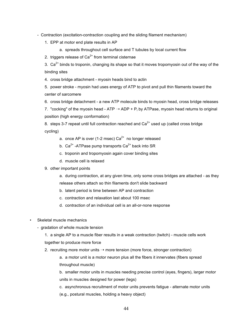- Contraction (excitation-contraction coupling and the sliding filament mechanism)

1. EPP at motor end plate results in AP

a. spreads throughout cell surface and T tubules by local current flow

2. triggers release of  $Ca^{2+}$  from terminal cisternae

3.  $Ca^{2+}$  binds to troponin, changing its shape so that it moves tropomyosin out of the way of the binding sites

4. cross bridge attachment - myosin heads bind to actin

5. power stroke - myosin had uses energy of ATP to pivot and pull thin filaments toward the center of sarcomere

6. cross bridge detachment - a new ATP molecule binds to myosin head, cross bridge releases

7. "cocking" of the myosin head - ATP  $\rightarrow$  ADP + P<sub>i</sub> by ATPase, myosin head returns to original position (high energy conformation)

8. steps 3-7 repeat until full contraction reached and  $Ca<sup>2+</sup>$  used up (called cross bridge cycling)

- a. once AP is over (1-2 msec)  $Ca^{2+}$  no longer released
- b.  $Ca^{2+}$ -ATPase pump transports  $Ca^{2+}$  back into SR
- c. troponin and tropomyosin again cover binding sites
- d. muscle cell is relaxed
- 9. other important points

a. during contraction, at any given time, only some cross bridges are attached - as they release others attach so thin filaments don't slide backward

- b. latent period is time between AP and contraction
- c. contraction and relaxation last about 100 msec
- d. contraction of an individual cell is an all-or-none response
- Skeletal muscle mechanics
	- gradation of whole muscle tension

1. a single AP to a muscle fiber results in a weak contraction (twitch) - muscle cells work together to produce more force

2. recruiting more motor units  $\rightarrow$  more tension (more force, stronger contraction)

a. a motor unit is a motor neuron plus all the fibers it innervates (fibers spread throughout muscle)

b. smaller motor units in muscles needing precise control (eyes, fingers), larger motor units in muscles designed for power (legs)

c. asynchronous recruitment of motor units prevents fatigue - alternate motor units (e.g., postural muscles, holding a heavy object)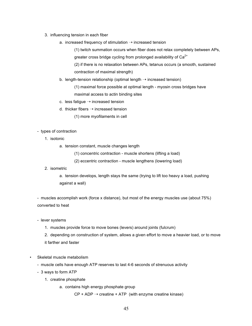- 3. influencing tension in each fiber
	- a. increased frequency of stimulation  $\rightarrow$  increased tension

(1) twitch summation occurs when fiber does not relax completely between APs, greater cross bridge cycling from prolonged availability of  $Ca<sup>2+</sup>$ 

(2) if there is no relaxation between APs, tetanus occurs (a smooth, sustained contraction of maximal strength)

b. length-tension relationship (optimal length  $\rightarrow$  increased tension)

(1) maximal force possible at optimal length - myosin cross bridges have maximal access to actin binding sites

- c. less fatigue  $\rightarrow$  increased tension
- d. thicker fibers  $\rightarrow$  increased tension

(1) more myofilaments in cell

## - types of contraction

- 1. isotonic
	- a. tension constant, muscle changes length
		- (1) concentric contraction muscle shortens (lifting a load)
		- (2) eccentric contraction muscle lengthens (lowering load)
- 2. isometric

a. tension develops, length stays the same (trying to lift too heavy a load, pushing against a wall)

- muscles accomplish work (force x distance), but most of the energy muscles use (about 75%) converted to heat

- lever systems
	- 1. muscles provide force to move bones (levers) around joints (fulcrum)

2. depending on construction of system, allows a given effort to move a heavier load, or to move it farther and faster

- Skeletal muscle metabolism
	- muscle cells have enough ATP reserves to last 4-6 seconds of strenuous activity
	- 3 ways to form ATP
		- 1. creatine phosphate
			- a. contains high energy phosphate group

 $CP + ADP \rightarrow$  creatine + ATP (with enzyme creatine kinase)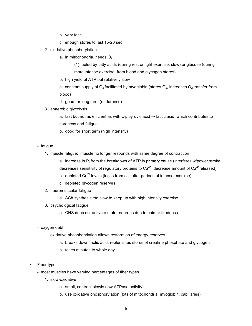- b. very fast
- c. enough stores to last 15-20 sec
- 2. oxidative phosphorylation
	- a. in mitochondria, needs  $O<sub>2</sub>$

(1) fueled by fatty acids (during rest or light exercise, slow) or glucose (during more intense exercise, from blood and glycogen stores)

- b. high yield of ATP but relatively slow
- c. constant supply of  $O_2$  facilitated by myoglobin (stores  $O_2$ , increases  $O_2$  transfer from blood)
- d. good for long term (endurance)
- 3. anaerobic glycolysis

a. fast but not as efficient as with  $O_2$ , pyruvic acid  $\rightarrow$  lactic acid, which contributes to soreness and fatigue

- b. good for short term (high intensity)
- fatigue
	- 1. muscle fatigue: muscle no longer responds with same degree of contraction
		- a. increase in  $P_i$  from the breakdown of ATP is primary cause (interferes w/power stroke,
		- decreases sensitivity of regulatory proteins to  $Ca^{2+}$ , decrease amount of  $Ca^{2+}$ released)
		- b. depleted  $Ca^{2+}$  levels (leaks from cell after periods of intense exercise)
		- c. depleted glycogen reserves
	- 2. neuromuscular fatigue
		- a. ACh synthesis too slow to keep up with high intensity exercise
	- 3. psychological fatigue
		- a. CNS does not activate motor neurons due to pain or tiredness
- oxygen debt
	- 1. oxidative phosphorylation allows restoration of energy reserves
		- a. breaks down lactic acid, replenishes stores of creatine phosphate and glycogen
		- b. takes minutes to whole day
- Fiber types
	- most muscles have varying percentages of fiber types
		- 1. slow-oxidative
			- a. small, contract slowly (low ATPase activity)
			- b. use oxidative phosphorylation (lots of mitochondria, myoglobin, capillaries)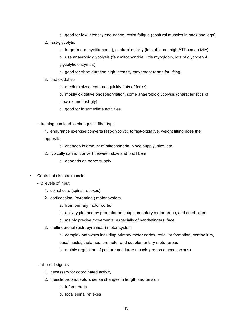- c. good for low intensity endurance, resist fatigue (postural muscles in back and legs)
- 2. fast-glycolytic
	- a. large (more myofilaments), contract quickly (lots of force, high ATPase activity)
	- b. use anaerobic glycolysis (few mitochondria, little myoglobin, lots of glycogen & glycolytic enzymes)
	- c. good for short duration high intensity movement (arms for lifting)
- 3. fast-oxidative
	- a. medium sized, contract quickly (lots of force)

b. mostly oxidative phosphorylation, some anaerobic glycolysis (characteristics of slow-ox and fast-gly)

- c. good for intermediate activities
- training can lead to changes in fiber type
	- 1. endurance exercise converts fast-glycolytic to fast-oxidative, weight lifting does the opposite
		- a. changes in amount of mitochondria, blood supply, size, etc.
	- 2. typically cannot convert between slow and fast fibers
		- a. depends on nerve supply
- Control of skeletal muscle
	- 3 levels of input
		- 1. spinal cord (spinal reflexes)
		- 2. corticospinal (pyramidal) motor system
			- a. from primary motor cortex
			- b. activity planned by premotor and supplementary motor areas, and cerebellum
			- c. mainly precise movements, especially of hands/fingers, face
		- 3. multineuronal (extrapyramidal) motor system
			- a. complex pathways including primary motor cortex, reticular formation, cerebellum,
			- basal nuclei, thalamus, premotor and supplementary motor areas
			- b. mainly regulation of posture and large muscle groups (subconscious)
	- afferent signals
		- 1. necessary for coordinated activity
		- 2. muscle proprioceptors sense changes in length and tension
			- a. inform brain
			- b. local spinal reflexes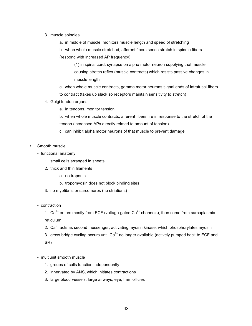### 3. muscle spindles

- a. in middle of muscle, monitors muscle length and speed of stretching
- b. when whole muscle stretched, afferent fibers sense stretch in spindle fibers (respond with increased AP frequency)

(1) in spinal cord, synapse on alpha motor neuron supplying that muscle, causing stretch reflex (muscle contracts) which resists passive changes in muscle length

- c. when whole muscle contracts, gamma motor neurons signal ends of intrafusal fibers to contract (takes up slack so receptors maintain sensitivity to stretch)
- 4. Golgi tendon organs
	- a. in tendons, monitor tension

b. when whole muscle contracts, afferent fibers fire in response to the stretch of the tendon (increased APs directly related to amount of tension)

- c. can inhibit alpha motor neurons of that muscle to prevent damage
- Smooth muscle
	- functional anatomy
		- 1. small cells arranged in sheets
		- 2. thick and thin filaments
			- a. no troponin
			- b. tropomyosin does not block binding sites
		- 3. no myofibrils or sarcomeres (no striations)
	- contraction

1.  $Ca^{2+}$  enters mostly from ECF (voltage-gated  $Ca^{2+}$  channels), then some from sarcoplasmic reticulum

- 2.  $Ca^{2+}$  acts as second messenger, activating myosin kinase, which phosphorylates myosin
- 3. cross bridge cycling occurs until  $Ca^{2+}$  no longer available (actively pumped back to ECF and SR)
- multiunit smooth muscle
	- 1. groups of cells function independently
	- 2. innervated by ANS, which initiates contractions
	- 3. large blood vessels, large airways, eye, hair follicles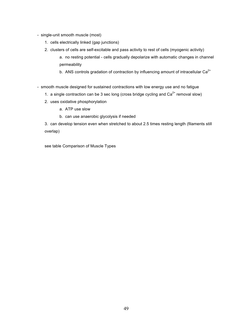- single-unit smooth muscle (most)
	- 1. cells electrically linked (gap junctions)
	- 2. clusters of cells are self-excitable and pass activity to rest of cells (myogenic activity)
		- a. no resting potential cells gradually depolarize with automatic changes in channel permeability
		- b. ANS controls gradation of contraction by influencing amount of intracellular  $Ca<sup>2+</sup>$
- smooth muscle designed for sustained contractions with low energy use and no fatigue
	- 1. a single contraction can be 3 sec long (cross bridge cycling and  $Ca<sup>2+</sup>$  removal slow)
	- 2. uses oxidative phosphorylation
		- a. ATP use slow
		- b. can use anaerobic glycolysis if needed

3. can develop tension even when stretched to about 2.5 times resting length (filaments still overlap)

see table Comparison of Muscle Types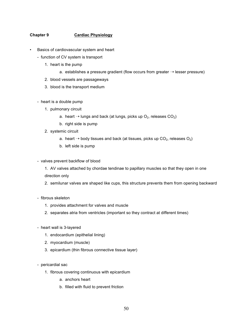# **Chapter 9 Cardiac Physiology**

- Basics of cardiovascular system and heart
	- function of CV system is transport
		- 1. heart is the pump
			- a. establishes a pressure gradient (flow occurs from greater  $\rightarrow$  lesser pressure)
		- 2. blood vessels are passageways
		- 3. blood is the transport medium
	- heart is a double pump
		- 1. pulmonary circuit
			- a. heart  $\rightarrow$  lungs and back (at lungs, picks up  $O_2$ , releases  $CO_2$ )
			- b. right side is pump
		- 2. systemic circuit
			- a. heart  $\rightarrow$  body tissues and back (at tissues, picks up CO<sub>2</sub>, releases O<sub>2</sub>)
			- b. left side is pump
	- valves prevent backflow of blood
		- 1. AV valves attached by chordae tendinae to papillary muscles so that they open in one direction only
		- 2. semilunar valves are shaped like cups, this structure prevents them from opening backward
	- fibrous skeleton
		- 1. provides attachment for valves and muscle
		- 2. separates atria from ventricles (important so they contract at different times)
	- heart wall is 3-layered
		- 1. endocardium (epithelial lining)
		- 2. myocardium (muscle)
		- 3. epicardium (thin fibrous connective tissue layer)
	- pericardial sac
		- 1. fibrous covering continuous with epicardium
			- a. anchors heart
			- b. filled with fluid to prevent friction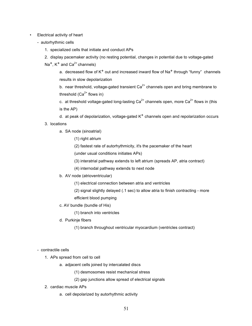## • Electrical activity of heart

- autorhythmic cells
	- 1. specialized cells that initiate and conduct APs
	- 2. display pacemaker activity (no resting potential, changes in potential due to voltage-gated
	- $Na<sup>+</sup>$ , K<sup>+</sup> and Ca<sup>2+</sup> channels)

a. decreased flow of  $K^+$  out and increased inward flow of Na<sup>+</sup> through "funny" channels results in slow depolarization

b. near threshold, voltage-gated transient  $Ca^{2+}$  channels open and bring membrane to threshold  $(Ca^{2+}$  flows in)

c. at threshold voltage-gated long-lasting  $Ca^{2+}$  channels open, more  $Ca^{2+}$  flows in (this is the AP)

d. at peak of depolarization, voltage-gated  $K^+$  channels open and repolarization occurs

# 3. locations

- a. SA node (sinoatrial)
	- (1) right atrium
	- (2) fastest rate of autorhythmicity, it's the pacemaker of the heart

(under usual conditions initiates APs)

- (3) interatrial pathway extends to left atrium (spreads AP, atria contract)
- (4) internodal pathway extends to next node
- b. AV node (atrioventricular)
	- (1) electrical connection between atria and ventricles

(2) signal slightly delayed (.1 sec) to allow atria to finish contracting - more efficient blood pumping

c. AV bundle (bundle of His)

(1) branch into ventricles

d. Purkinje fibers

(1) branch throughout ventricular myocardium (ventricles contract)

- contractile cells

- 1. APs spread from cell to cell
	- a. adjacent cells joined by intercalated discs
		- (1) desmosomes resist mechanical stress
		- (2) gap junctions allow spread of electrical signals
- 2. cardiac muscle APs
	- a. cell depolarized by autorhythmic activity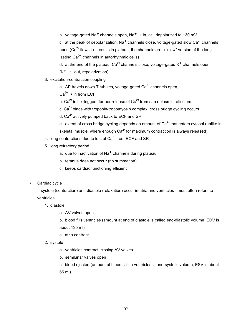b. voltage-gated Na<sup>+</sup> channels open, Na<sup>+</sup>  $\rightarrow$  in, cell depolarized to +30 mV

c. at the peak of depolarization,  $Na^+$  channels close, voltage-gated slow  $Ca^{2+}$  channels open (Ca<sup>2+</sup> flows in - results in plateau, the channels are a "slow" version of the longlasting  $Ca^{2+}$  channels in autorhythmic cells)

d. at the end of the plateau,  $Ca^{2+}$  channels close, voltage-gated  $K^+$  channels open

 $(K^+ \rightarrow \text{out}, \text{repolation})$ 

- 3. excitation-contraction coupling
	- a. AP travels down T tubules, voltage-gated  $Ca<sup>2+</sup>$  channels open,

 $Ca^{2+} \rightarrow$  in from ECF

- b.  $Ca^{2+}$  influx triggers further release of  $Ca^{2+}$  from sarcoplasmic reticulum
- c.  $Ca<sup>2+</sup>$  binds with troponin-tropomyosin complex, cross bridge cycling occurs
- d.  $Ca<sup>2+</sup>$  actively pumped back to ECF and SR
- e. extent of cross bridge cycling depends on amount of  $Ca<sup>2+</sup>$  that enters cytosol (unlike in skeletal muscle, where enough  $Ca^{2+}$  for maximum contraction is always released)
- 4. long contractions due to lots of  $Ca<sup>2+</sup>$  from ECF and SR
- 5. long refractory period
	- a. due to inactivation of Na<sup>+</sup> channels during plateau
	- b. tetanus does not occur (no summation)
	- c. keeps cardiac functioning efficient
- Cardiac cycle

- systole (contraction) and diastole (relaxation) occur in atria and ventricles - most often refers to ventricles

- 1. diastole
	- a. AV valves open

b. blood fills ventricles (amount at end of diastole is called end-diastolic volume, EDV is about 135 ml)

- c. atria contract
- 2. systole
	- a. ventricles contract, closing AV valves
	- b. semilunar valves open

c. blood ejected (amount of blood still in ventricles is end-systolic volume, ESV is about 65 ml)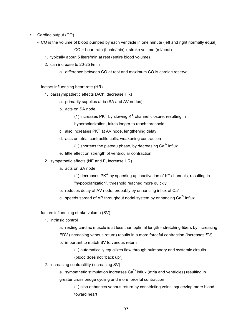- Cardiac output (CO)
	- CO is the volume of blood pumped by each ventricle in one minute (left and right normally equal)

CO = heart rate (beats/min) x stroke volume (ml/beat)

- 1. typically about 5 liters/min at rest (entire blood volume)
- 2. can increase to 20-25 l/min
	- a. difference between CO at rest and maximum CO is cardiac reserve
- factors influencing heart rate (HR)
	- 1. parasympathetic effects (ACh, decrease HR)
		- a. primarily supplies atria (SA and AV nodes)
		- b. acts on SA node

(1) increases  $PK<sup>+</sup>$  by slowing  $K<sup>+</sup>$  channel closure, resulting in

hyperpolarization, takes longer to reach threshold

- c. also increases  $PK<sup>+</sup>$  at AV node, lengthening delay
- d. acts on atrial contractile cells, weakening contraction

(1) shortens the plateau phase, by decreasing  $Ca<sup>2+</sup>$  influx

- e. little effect on strength of ventricular contraction
- 2. sympathetic effects (NE and E, increase HR)
	- a. acts on SA node

(1) decreases PK<sup>+</sup> by speeding up inactivation of  $K^+$  channels, resulting in

"hypopolarization", threshold reached more quickly

- b. reduces delay at AV node, probably by enhancing influx of  $Ca<sup>2+</sup>$
- c. speeds spread of AP throughout nodal system by enhancing  $Ca<sup>2+</sup>$  influx
- factors influencing stroke volume (SV)
	- 1. intrinsic control
		- a. resting cardiac muscle is at less than optimal length stretching fibers by increasing EDV (increasing venous return) results in a more forceful contraction (increases SV)
		- b. important to match SV to venous return
			- (1) automatically equalizes flow through pulmonary and systemic circuits (blood does not "back up")
	- 2. increasing contractility (increasing SV)

a. sympathetic stimulation increases  $Ca^{2+}$  influx (atria and ventricles) resulting in greater cross bridge cycling and more forceful contraction

(1) also enhances venous return by constricting veins, squeezing more blood toward heart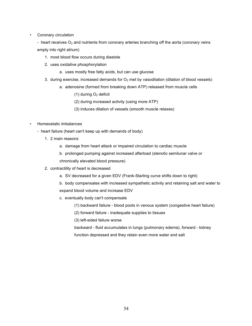• Coronary circulation

- heart receives  $O_2$  and nutrients from coronary arteries branching off the aorta (coronary veins empty into right atrium)

- 1. most blood flow occurs during diastole
- 2. uses oxidative phosphorylation
	- a. uses mostly free fatty acids, but can use glucose
- 3. during exercise, increased demands for  $O<sub>2</sub>$  met by vasodilation (dilation of blood vessels)
	- a. adenosine (formed from breaking down ATP) released from muscle cells
		- (1) during  $O<sub>2</sub>$  deficit
		- (2) during increased activity (using more ATP)
		- (3) induces dilation of vessels (smooth muscle relaxes)

## • Homeostatic imbalances

- heart failure (heart can't keep up with demands of body)
	- 1. 2 main reasons
		- a. damage from heart attack or impaired circulation to cardiac muscle
		- b. prolonged pumping against increased afterload (stenotic semilunar valve or chronically elevated blood pressure)
	- 2. contractility of heart is decreased
		- a. SV decreased for a given EDV (Frank-Starling curve shifts down to right)
		- b. body compensates with increased sympathetic activity and retaining salt and water to expand blood volume and increase EDV
		- c. eventually body can't compensate
			- (1) backward failure blood pools in venous system (congestive heart failure)
			- (2) forward failure inadequate supplies to tissues
			- (3) left-sided failure worse
			- backward fluid accumulates in lungs (pulmonary edema), forward kidney
			- function depressed and they retain even more water and salt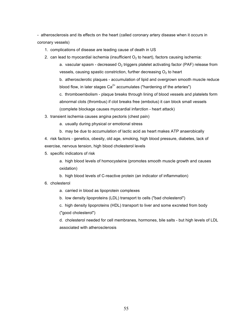- atherosclerosis and its effects on the heart (called coronary artery disease when it occurs in coronary vessels)

- 1. complications of disease are leading cause of death in US
- 2. can lead to myocardial ischemia (insufficient  $O<sub>2</sub>$  to heart), factors causing ischemia:

a. vascular spasm - decreased  $O<sub>2</sub>$  triggers platelet activating factor (PAF) release from vessels, causing spastic constriction, further decreasing  $O<sub>2</sub>$  to heart

b. atherosclerotic plaques - accumulation of lipid and overgrown smooth muscle reduce blood flow, in later stages  $Ca<sup>2+</sup>$  accumulates ("hardening of the arteries")

c. thromboembolism - plaque breaks through lining of blood vessels and platelets form abnormal clots (thrombus) if clot breaks free (embolus) it can block small vessels (complete blockage causes myocardial infarction - heart attack)

- 3. transient ischemia causes angina pectoris (chest pain)
	- a. usually during physical or emotional stress
	- b. may be due to accumulation of lactic acid as heart makes ATP anaerobically

4. risk factors - genetics, obesity, old age, smoking, high blood pressure, diabetes, lack of exercise, nervous tension, high blood cholesterol levels

5. specific indicators of risk

a. high blood levels of homocysteine (promotes smooth muscle growth and causes oxidation)

b. high blood levels of C-reactive protein (an indicator of inflammation)

#### 6. cholesterol

a. carried in blood as lipoprotein complexes

b. low density lipoproteins (LDL) transport to cells ("bad cholesterol")

c. high density lipoproteins (HDL) transport to liver and some excreted from body ("good cholesterol")

d. cholesterol needed for cell membranes, hormones, bile salts - but high levels of LDL associated with atherosclerosis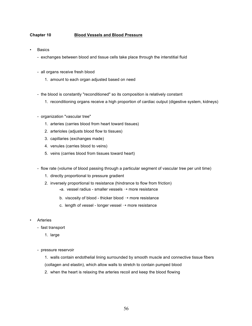# **Chapter 10 Blood Vessels and Blood Pressure**

- **Basics** 
	- exchanges between blood and tissue cells take place through the interstitial fluid
	- all organs receive fresh blood
		- 1. amount to each organ adjusted based on need
	- the blood is constantly "reconditioned" so its composition is relatively constant
		- 1. reconditioning organs receive a high proportion of cardiac output (digestive system, kidneys)
	- organization "vascular tree"
		- 1. arteries (carries blood from heart toward tissues)
		- 2. arterioles (adjusts blood flow to tissues)
		- 3. capillaries (exchanges made)
		- 4. venules (carries blood to veins)
		- 5. veins (carries blood from tissues toward heart)
	- flow rate (volume of blood passing through a particular segment of vascular tree per unit time)
		- 1. directly proportional to pressure gradient
		- 2. inversely proportional to resistance (hindrance to flow from friction)
			- $*a$ . vessel radius smaller vessels  $\rightarrow$  more resistance
			- b. viscosity of blood thicker blood  $\rightarrow$  more resistance
			- c. length of vessel longer vessel  $\rightarrow$  more resistance
- **Arteries** 
	- fast transport
		- 1. large
	- pressure reservoir
		- 1. walls contain endothelial lining surrounded by smooth muscle and connective tissue fibers
		- (collagen and elastin), which allow walls to stretch to contain pumped blood
		- 2. when the heart is relaxing the arteries recoil and keep the blood flowing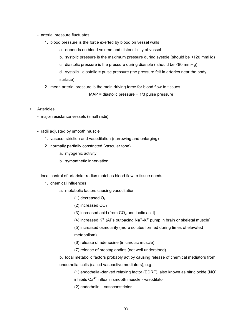- arterial pressure fluctuates
	- 1. blood pressure is the force exerted by blood on vessel walls
		- a. depends on blood volume and distensibility of vessel
		- b. systolic pressure is the maximum pressure during systole (should be <120 mmHg)
		- c. diastolic pressure is the pressure during diastole ( should be <80 mmHg)

d. systolic - diastolic = pulse pressure (the pressure felt in arteries near the body surface)

2. mean arterial pressure is the main driving force for blood flow to tissues

MAP = diastolic pressure + 1/3 pulse pressure

- **Arterioles** 
	- major resistance vessels (small radii)
	- radii adjusted by smooth muscle
		- 1. vasoconstriction and vasodilation (narrowing and enlarging)
		- 2. normally partially constricted (vascular tone)
			- a. myogenic activity
			- b. sympathetic innervation

- local control of arteriolar radius matches blood flow to tissue needs

- 1. chemical influences
	- a. metabolic factors causing vasodilation
		- (1) decreased  $O<sub>2</sub>$
		- (2) increased  $CO<sub>2</sub>$
		- (3) increased acid (from  $CO<sub>2</sub>$  and lactic acid)
		- (4) increased  $K^+$  (APs outpacing Na<sup>+</sup>-K<sup>+</sup> pump in brain or skeletal muscle)
		- (5) increased osmolarity (more solutes formed during times of elevated

metabolism)

(6) release of adenosine (in cardiac muscle)

(7) release of prostaglandins (not well understood)

b. local metabolic factors probably act by causing release of chemical mediators from endothelial cells (called vasoactive mediators), e.g.,

(1) endothelial-derived relaxing factor (EDRF), also known as nitric oxide (NO)

- inhibits  $Ca^{2+}$  influx in smooth muscle vasodilator
- (2) endothelin vasoconstrictor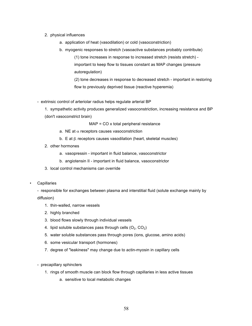## 2. physical influences

- a. application of heat (vasodilation) or cold (vasoconstriction)
- b. myogenic responses to stretch (vasoactive substances probably contribute) (1) tone increases in response to increased stretch (resists stretch) important to keep flow to tissues constant as MAP changes (pressure autoregulation)

(2) tone decreases in response to decreased stretch - important in restoring flow to previously deprived tissue (reactive hyperemia)

- extrinsic control of arteriolar radius helps regulate arterial BP
	- 1. sympathetic activity produces generalized vasoconstriction, increasing resistance and BP (don't vasoconstrict brain)

MAP = CO x total peripheral resistance

- a. NE at  $\alpha$  receptors causes vasoconstriction
- b. E at  $\beta_2$  receptors causes vasodilation (heart, skeletal muscles)
- 2. other hormones
	- a. vasopressin important in fluid balance, vasoconstrictor
	- b. angiotensin II important in fluid balance, vasoconstrictor
- 3. local control mechanisms can override
- **Capillaries**

- responsible for exchanges between plasma and interstitial fluid (solute exchange mainly by diffusion)

- 1. thin-walled, narrow vessels
- 2. highly branched
- 3. blood flows slowly through individual vessels
- 4. lipid soluble substances pass through cells  $(O_2, CO_2)$
- 5. water soluble substances pass through pores (ions, glucose, amino acids)
- 6. some vesicular transport (hormones)
- 7. degree of "leakiness" may change due to actin-myosin in capillary cells
- precapillary sphincters
	- 1. rings of smooth muscle can block flow through capillaries in less active tissues
		- a. sensitive to local metabolic changes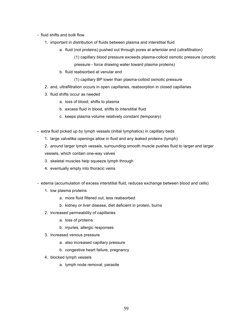- fluid shifts and bulk flow
	- 1. important in distribution of fluids between plasma and interstitial fluid
		- a. fluid (not proteins) pushed out through pores at arteriolar end (ultrafiltration)
			- (1) capillary blood pressure exceeds plasma-colloid osmotic pressure (oncotic
			- pressure force drawing water toward plasma proteins)
		- b. fluid reabsorbed at venular end
			- (1) capillary BP lower than plasma-colloid osmotic pressure
	- 2. and, ultrafiltration occurs in open capillaries, reabsorption in closed capillaries
	- 3. fluid shifts occur as needed
		- a. loss of blood, shifts to plasma
		- b. excess fluid in blood, shifts to interstitial fluid
		- c. keeps plasma volume relatively constant (temporary)
- extra fluid picked up by lymph vessels (initial lymphatics) in capillary beds
	- 1. large valvelike openings allow in fluid and any leaked proteins (lymph)
	- 2. around larger lymph vessels, surrounding smooth muscle pushes fluid to larger and larger vessels, which contain one-way valves
	- 3. skeletal muscles help squeeze lymph through
	- 4. eventually empty into thoracic veins
- edema (accumulation of excess interstitial fluid, reduces exchange between blood and cells)
	- 1. low plasma proteins
		- a. more fluid filtered out, less reabsorbed
		- b. kidney or liver disease, diet deficient in protein, burns
	- 2. increased permeability of capillaries
		- a. loss of proteins
		- b. injuries, allergic responses
	- 3. increased venous pressure
		- a. also increased capillary pressure
		- b. congestive heart failure, pregnancy
	- 4. blocked lymph vessels
		- a. lymph node removal, parasite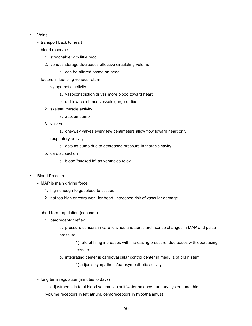- Veins
	- transport back to heart
	- blood reservoir
		- 1. stretchable with little recoil
		- 2. venous storage decreases effective circulating volume
			- a. can be altered based on need
	- factors influencing venous return
		- 1. sympathetic activity
			- a. vasoconstriction drives more blood toward heart
			- b. still low resistance vessels (large radius)
		- 2. skeletal muscle activity
			- a. acts as pump
		- 3. valves
			- a. one-way valves every few centimeters allow flow toward heart only
		- 4. respiratory activity
			- a. acts as pump due to decreased pressure in thoracic cavity
		- 5. cardiac suction
			- a. blood "sucked in" as ventricles relax
- Blood Pressure
	- MAP is main driving force
		- 1. high enough to get blood to tissues
		- 2. not too high or extra work for heart, increased risk of vascular damage
	- short term regulation (seconds)
		- 1. baroreceptor reflex
			- a. pressure sensors in carotid sinus and aortic arch sense changes in MAP and pulse pressure
				- (1) rate of firing increases with increasing pressure, decreases with decreasing pressure
			- b. integrating center is cardiovascular control center in medulla of brain stem
				- (1) adjusts sympathetic/parasympathetic activity
	- long term regulation (minutes to days)
		- 1. adjustments in total blood volume via salt/water balance urinary system and thirst (volume receptors in left atrium, osmoreceptors in hypothalamus)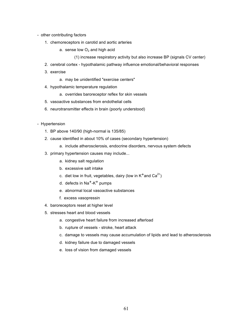- other contributing factors
	- 1. chemoreceptors in carotid and aortic arteries
		- a. sense low  $O<sub>2</sub>$  and high acid
			- (1) increase respiratory activity but also increase BP (signals CV center)
	- 2. cerebral cortex hypothalamic pathway influence emotional/behavioral responses
	- 3. exercise
		- a. may be unidentified "exercise centers"
	- 4. hypothalamic temperature regulation
		- a. overrides baroreceptor reflex for skin vessels
	- 5. vasoactive substances from endothelial cells
	- 6. neurotransmitter effects in brain (poorly understood)
- Hypertension
	- 1. BP above 140/90 (high-normal is 135/85)
	- 2. cause identified in about 10% of cases (secondary hypertension)
		- a. include atherosclerosis, endocrine disorders, nervous system defects
	- 3. primary hypertension causes may include...
		- a. kidney salt regulation
		- b. excessive salt intake
		- c. diet low in fruit, vegetables, dairy (low in  $K^+$  and  $Ca^{2+}$ )
		- d. defects in  $Na<sup>+</sup>-K<sup>+</sup>$  pumps
		- e. abnormal local vasoactive substances
		- f. excess vasopressin
	- 4. baroreceptors reset at higher level
	- 5. stresses heart and blood vessels
		- a. congestive heart failure from increased afterload
		- b. rupture of vessels stroke, heart attack
		- c. damage to vessels may cause accumulation of lipids and lead to atherosclerosis
		- d. kidney failure due to damaged vessels
		- e. loss of vision from damaged vessels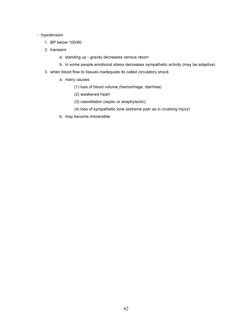## - hypotension

- 1. BP below 100/60
- 2. transient
	- a. standing up gravity decreases venous return
	- b. in some people emotional stress decreases sympathetic activity (may be adaptive)
- 3. when blood flow to tissues inadequate its called circulatory shock
	- a. many causes
		- (1) loss of blood volume (hemorrhage, diarrhea)
		- (2) weakened heart
		- (3) vasodilation (septic or anaphylactic)
		- (4) loss of sympathetic tone (extreme pain as in crushing injury)
	- b. may become irreversible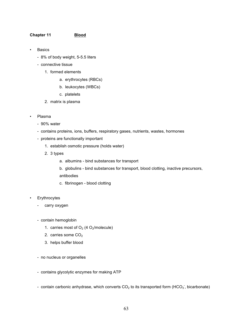## **Chapter 11 Blood**

- **Basics** 
	- 8% of body weight, 5-5.5 liters
	- connective tissue
		- 1. formed elements
			- a. erythrocytes (RBCs)
			- b. leukocytes (WBCs)
			- c. platelets
		- 2. matrix is plasma
- Plasma
	- 90% water
	- contains proteins, ions, buffers, respiratory gases, nutrients, wastes, hormones
	- proteins are functionally important
		- 1. establish osmotic pressure (holds water)
		- 2. 3 types
			- a. albumins bind substances for transport
			- b. globulins bind substances for transport, blood clotting, inactive precursors,
			- antibodies
			- c. fibrinogen blood clotting
- **Erythrocytes** 
	- carry oxygen
	- contain hemoglobin
		- 1. carries most of  $O_2$  (4  $O_2$ /molecule)
		- 2. carries some  $CO<sub>2</sub>$
		- 3. helps buffer blood
	- no nucleus or organelles
	- contains glycolytic enzymes for making ATP
	- contain carbonic anhydrase, which converts CO<sub>2</sub> to its transported form (HCO<sub>3</sub><sup>-</sup>, bicarbonate)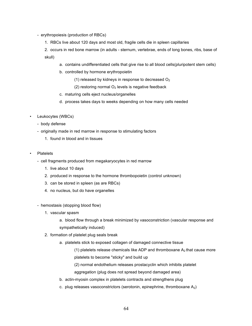- erythropoiesis (production of RBCs)
	- 1. RBCs live about 120 days and most old, fragile cells die in spleen capillaries

2. occurs in red bone marrow (in adults - sternum, vertebrae, ends of long bones, ribs, base of skull)

- a. contains undifferentiated cells that give rise to all blood cells(pluripotent stem cells)
- b. controlled by hormone erythropoietin
	- (1) released by kidneys in response to decreased  $O<sub>2</sub>$
	- (2) restoring normal  $O<sub>2</sub>$  levels is negative feedback
- c. maturing cells eject nucleus/organelles
- d. process takes days to weeks depending on how many cells needed
- Leukocytes (WBCs)
	- body defense
	- originally made in red marrow in response to stimulating factors
		- 1. found in blood and in tissues
- Platelets
	- cell fragments produced from megakaryocytes in red marrow
		- 1. live about 10 days
		- 2. produced in response to the hormone thrombopoietin (control unknown)
		- 3. can be stored in spleen (as are RBCs)
		- 4. no nucleus, but do have organelles
	- hemostasis (stopping blood flow)
		- 1. vascular spasm
			- a. blood flow through a break minimized by vasoconstriction (vascular response and sympathetically induced)
		- 2. formation of platelet plug seals break
			- a. platelets stick to exposed collagen of damaged connective tissue
				- (1) platelets release chemicals like ADP and thromboxane  $A_2$  that cause more platelets to become "sticky" and build up
				- (2) normal endothelium releases prostacyclin which inhibits platelet aggregation (plug does not spread beyond damaged area)
			- b. actin-myosin complex in platelets contracts and strengthens plug
			- c. plug releases vasoconstrictors (serotonin, epinephrine, thromboxane  $A_2$ )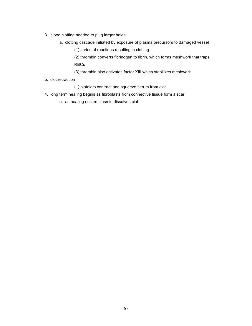- 3. blood clotting needed to plug larger holes
	- a. clotting cascade initiated by exposure of plasma precursors to damaged vessel
		- (1) series of reactions resulting in clotting

(2) thrombin converts fibrinogen to fibrin, which forms meshwork that traps RBCs

- (3) thrombin also activates factor XIII which stabilizes meshwork
- b. clot retraction
	- (1) platelets contract and squeeze serum from clot
- 4. long term healing begins as fibroblasts from connective tissue form a scar
	- a. as healing occurs plasmin dissolves clot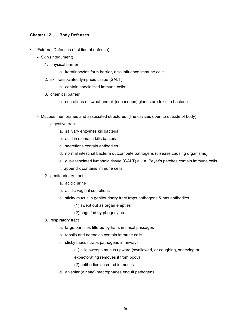## **Chapter 12 Body Defenses**

- External Defenses (first line of defense)
	- Skin (integument)
		- 1. physical barrier
			- a. keratinocytes form barrier, also influence immune cells
		- 2. skin-associated lymphoid tissue (SALT)
			- a. contain specialized immune cells
		- 3. chemical barrier
			- a. secretions of sweat and oil (sebaceous) glands are toxic to bacteria
	- Mucous membranes and associated structures (line cavities open to outside of body)
		- 1. digestive tract
			- a. salivary enzymes kill bacteria
			- b. acid in stomach kills bacteria
			- c. secretions contain antibodies
			- d. normal intestinal bacteria outcompete pathogens (disease causing organisms)
			- e. gut-associated lymphoid tissue (GALT) a.k.a. Peyer's patches contain immune cells
			- f. appendix contains immune cells
		- 2. genitourinary tract
			- a. acidic urine
			- b. acidic vaginal secretions
			- c. sticky mucus in genitourinary tract traps pathogens & has antibodies
				- (1) swept out as organ empties
				- (2) engulfed by phagocytes
		- 3. respiratory tract
			- a. large particles filtered by hairs in nasal passages
			- b. tonsils and adenoids contain immune cells
			- c. sticky mucus traps pathogens in airways
				- (1) cilia sweeps mucus upward (swallowed, or coughing, sneezing or

expectorating removes it from body)

- (2) antibodies secreted in mucus
- d. alveolar (air sac) macrophages engulf pathogens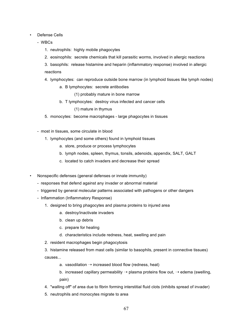## • Defense Cells

- WBCs
	- 1. neutrophils: highly mobile phagocytes
	- 2. eosinophils: secrete chemicals that kill parasitic worms, involved in allergic reactions
	- 3. basophils: release histamine and heparin (inflammatory response) involved in allergic reactions
	- 4. lymphocytes: can reproduce outside bone marrow (in lymphoid tissues like lymph nodes)
		- a. B lymphocytes: secrete antibodies

(1) probably mature in bone marrow

b. T lymphocytes: destroy virus infected and cancer cells

(1) mature in thymus

- 5. monocytes: become macrophages large phagocytes in tissues
- most in tissues, some circulate in blood
	- 1. lymphocytes (and some others) found in lymphoid tissues
		- a. store, produce or process lymphocytes
		- b. lymph nodes, spleen, thymus, tonsils, adenoids, appendix, SALT, GALT
		- c. located to catch invaders and decrease their spread
- Nonspecific defenses (general defenses or innate immunity)
	- responses that defend against any invader or abnormal material
	- triggered by general molecular patterns associated with pathogens or other dangers
	- Inflammation (Inflammatory Response)
		- 1. designed to bring phagocytes and plasma proteins to injured area
			- a. destroy/inactivate invaders
			- b. clean up debris
			- c. prepare for healing
			- d. characteristics include redness, heat, swelling and pain
		- 2. resident macrophages begin phagocytosis
		- 3. histamine released from mast cells (similar to basophils, present in connective tissues) causes...
			- a. vasodilation  $\rightarrow$  increased blood flow (redness, heat)
			- b. increased capillary permeability  $\rightarrow$  plasma proteins flow out,  $\rightarrow$  edema (swelling, pain)
		- 4. "walling off" of area due to fibrin forming interstitial fluid clots (inhibits spread of invader)
		- 5. neutrophils and monocytes migrate to area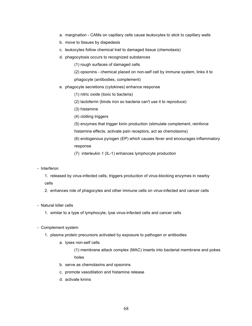- a. margination CAMs on capillary cells cause leukocytes to stick to capillary walls
- b. move to tissues by diapedesis
- c. leukocytes follow chemical trail to damaged tissue (chemotaxis)
- d. phagocytosis occurs to recognized substances

(1) rough surfaces of damaged cells

(2) opsonins - chemical placed on non-self cell by immune system, links it to phagocyte (antibodies, complement)

- e. phagocyte secretions (cytokines) enhance response
	- (1) nitric oxide (toxic to bacteria)
	- (2) lactoferrin (binds iron so bacteria can't use it to reproduce)
	- (3) histamine
	- (4) clotting triggers
	- (5) enzymes that trigger kinin production (stimulate complement, reinforce
	- histamine effects, activate pain receptors, act as chemotaxins)

(6) endogenous pyrogen (EP) which causes fever and encourages inflammatory response

- (7) interleukin 1 (IL-1) enhances lymphocyte production
- Interferon

1. released by virus-infected cells, triggers production of virus-blocking enzymes in nearby cells

- 2. enhances role of phagocytes and other immune cells on virus-infected and cancer cells
- Natural killer cells
	- 1. similar to a type of lymphocyte, lyse virus-infected cells and cancer cells
- Complement system
	- 1. plasma protein precursors activated by exposure to pathogen or antibodies
		- a. lyses non-self cells
			- (1) membrane attack complex (MAC) inserts into bacterial membrane and pokes holes
		- b. serve as chemotaxins and opsonins
		- c. promote vasodilation and histamine release
		- d. activate kinins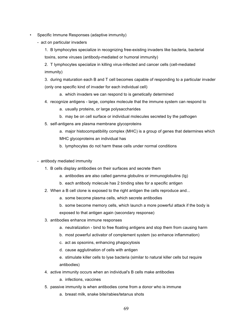- Specific Immune Responses (adaptive immunity)
	- act on particular invaders

1. B lymphocytes specialize in recognizing free-existing invaders like bacteria, bacterial toxins, some viruses (antibody-mediated or humoral immunity)

2. T lymphocytes specialize in killing virus-infected and cancer cells (cell-mediated immunity)

3. during maturation each B and T cell becomes capable of responding to a particular invader (only one specific kind of invader for each individual cell)

- a. which invaders we can respond to is genetically determined
- 4. recognize antigens large, complex molecule that the immune system can respond to
	- a. usually proteins, or large polysaccharides
	- b. may be on cell surface or individual molecules secreted by the pathogen
- 5. self-antigens are plasma membrane glycoproteins
	- a. major histocompatibility complex (MHC) is a group of genes that determines which MHC glycoproteins an individual has
	- b. lymphocytes do not harm these cells under normal conditions
- antibody mediated immunity
	- 1. B cells display antibodies on their surfaces and secrete them
		- a. antibodies are also called gamma globulins or immunoglobulins (Ig)
		- b. each antibody molecule has 2 binding sites for a specific antigen
	- 2. When a B cell clone is exposed to the right antigen the cells reproduce and...
		- a. some become plasma cells, which secrete antibodies
		- b. some become memory cells, which launch a more powerful attack if the body is exposed to that antigen again (secondary response)
	- 3. antibodies enhance immune responses
		- a. neutralization bind to free floating antigens and stop them from causing harm
		- b. most powerful activator of complement system (so enhance inflammation)
		- c. act as opsonins, enhancing phagocytosis
		- d. cause agglutination of cells with antigen
		- e. stimulate killer cells to lyse bacteria (similar to natural killer cells but require antibodies)
	- 4. active immunity occurs when an individual's B cells make antibodies
		- a. infections, vaccines
	- 5. passive immunity is when antibodies come from a donor who is immune
		- a. breast milk, snake bite/rabies/tetanus shots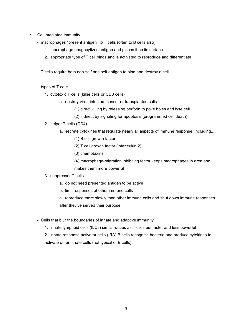- Cell-mediated immunity
	- macrophages "present antigen" to T cells (often to B cells also)
		- 1. macrophage phagocytizes antigen and places it on its surface
		- 2. appropriate type of T cell binds and is activated to reproduce and differentiate
	- T cells require both non-self and self antigen to bind and destroy a cell
	- types of T cells
		- 1. cytotoxic T cells (killer cells or CD8 cells)
			- a. destroy virus-infected, cancer or transplanted cells
				- (1) direct killing by releasing perforin to poke holes and lyse cell
				- (2) indirect by signaling for apoptosis (programmed cell death)
		- 2. helper T cells (CD4)
			- a. secrete cytokines that regulate nearly all aspects of immune response, including...
				- (1) B cell growth factor
				- (2) T cell growth factor (interleukin 2)
				- (3) chemotaxins
				- (4) macrophage-migration inhibiting factor keeps macrophages in area and makes them more powerful
		- 3. suppressor T cells
			- a. do not need presented antigen to be active
			- b. limit responses of other immune cells
			- c. reproduce more slowly than other immune cells and shut down immune responses after they've served their purpose
	- Cells that blur the boundaries of innate and adaptive immunity
		- 1. innate lymphoid cells (ILCs) similar duties as T cells but faster and less powerful
		- 2. innate response activator cells (IRA) B cells recognize bacteria and produce cytokines to activate other innate cells (not typical of B cells)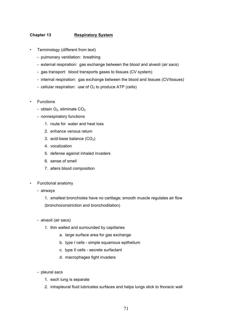# **Chapter 13 Respiratory System**

- Terminology (different from text)
	- pulmonary ventilation: breathing
	- external respiration: gas exchange between the blood and alveoli (air sacs)
	- gas transport: blood transports gases to tissues (CV system)
	- internal respiration: gas exchange between the blood and tissues (CV/tissues)
	- cellular respiration: use of  $O_2$  to produce ATP (cells)
- **Functions** 
	- obtain  $O_2$ , eliminate  $CO_2$
	- nonrespiratory functions
		- 1. route for water and heat loss
		- 2. enhance venous return
		- 3. acid-base balance  $(CO<sub>2</sub>)$
		- 4. vocalization
		- 5. defense against inhaled invaders
		- 6. sense of smell
		- 7. alters blood composition
- Functional anatomy
	- airways

1. smallest bronchioles have no cartilage; smooth muscle regulates air flow (bronchoconstriction and bronchodilation)

- alveoli (air sacs)
	- 1. thin walled and surrounded by capillaries
		- a. large surface area for gas exchange
		- b. type I cells simple squamous epithelium
		- c. type II cells secrete surfactant
		- d. macrophages fight invaders
- pleural sacs
	- 1. each lung is separate
	- 2. intrapleural fluid lubricates surfaces and helps lungs stick to thoracic wall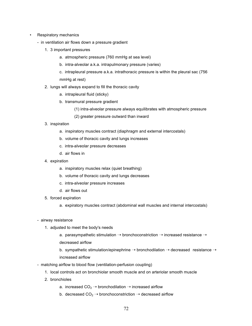- **Respiratory mechanics** 
	- in ventilation air flows down a pressure gradient
		- 1. 3 important pressures
			- a. atmospheric pressure (760 mmHg at sea level)
			- b. intra-alveolar a.k.a. intrapulmonary pressure (varies)
			- c. intrapleural pressure a.k.a. intrathoracic pressure is within the pleural sac (756 mmHg at rest)
		- 2. lungs will always expand to fill the thoracic cavity
			- a. intrapleural fluid (sticky)
			- b. transmural pressure gradient
				- (1) intra-alveolar pressure always equilibrates with atmospheric pressure
				- (2) greater pressure outward than inward
		- 3. inspiration
			- a. inspiratory muscles contract (diaphragm and external intercostals)
			- b. volume of thoracic cavity and lungs increases
			- c. intra-alveolar pressure decreases
			- d. air flows in
		- 4. expiration
			- a. inspiratory muscles relax (quiet breathing)
			- b. volume of thoracic cavity and lungs decreases
			- c. intra-alveolar pressure increases
			- d. air flows out
		- 5. forced expiration
			- a. expiratory muscles contract (abdominal wall muscles and internal intercostals)
	- airway resistance
		- 1. adjusted to meet the body's needs
			- a. parasympathetic stimulation  $\rightarrow$  bronchoconstriction  $\rightarrow$  increased resistance  $\rightarrow$ decreased airflow
			- b. sympathetic stimulation/epinephrine  $\rightarrow$  bronchodilation  $\rightarrow$  decreased resistance  $\rightarrow$ increased airflow
	- matching airflow to blood flow (ventilation-perfusion coupling)
		- 1. local controls act on bronchiolar smooth muscle and on arteriolar smooth muscle
		- 2. bronchioles
			- a. increased  $CO<sub>2</sub> \rightarrow$  bronchodilation  $\rightarrow$  increased airflow
			- b. decreased  $CO<sub>2</sub> \rightarrow$  bronchoconstriction  $\rightarrow$  decreased airflow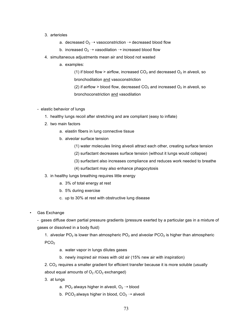- 3. arterioles
	- a. decreased  $O_2 \rightarrow$  vasoconstriction  $\rightarrow$  decreased blood flow
	- b. increased  $O_2 \rightarrow$  vasodilation  $\rightarrow$  increased blood flow
- 4. simultaneous adjustments mean air and blood not wasted
	- a. examples:

(1) if blood flow > airflow, increased  $CO<sub>2</sub>$  and decreased  $O<sub>2</sub>$  in alveoli, so bronchodilation and vasoconstriction

(2) if airflow > blood flow, decreased  $CO<sub>2</sub>$  and increased  $O<sub>2</sub>$  in alveoli, so bronchoconstriction and vasodilation

- elastic behavior of lungs
	- 1. healthy lungs recoil after stretching and are compliant (easy to inflate)
	- 2. two main factors
		- a. elastin fibers in lung connective tissue
		- b. alveolar surface tension
			- (1) water molecules lining alveoli attract each other, creating surface tension
			- (2) surfactant decreases surface tension (without it lungs would collapse)
			- (3) surfactant also increases compliance and reduces work needed to breathe
			- (4) surfactant may also enhance phagocytosis
	- 3. in healthy lungs breathing requires little energy
		- a. 3% of total energy at rest
		- b. 5% during exercise
		- c. up to 30% at rest with obstructive lung disease
- Gas Exchange

- gases diffuse down partial pressure gradients (pressure exerted by a particular gas in a mixture of gases or dissolved in a body fluid)

1. alveolar PO<sub>2</sub> is lower than atmospheric PO<sub>2</sub> and alveolar PCO<sub>2</sub> is higher than atmospheric PCO<sub>2</sub>

- a. water vapor in lungs dilutes gases
- b. newly inspired air mixes with old air (15% new air with inspiration)

2. CO<sub>2</sub> requires a smaller gradient for efficient transfer because it is more soluble (usually about equal amounts of  $O_2$  /CO<sub>2</sub> exchanged)

- 3. at lungs
	- a. PO<sub>2</sub> always higher in alveoli,  $O_2 \rightarrow$  blood
	- b. PCO<sub>2</sub> always higher in blood,  $CO<sub>2</sub> \rightarrow$  alveoli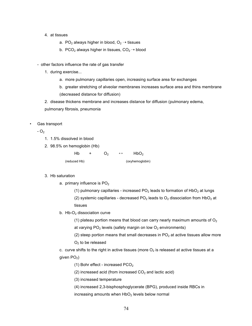- 4. at tissues
	- a. PO<sub>2</sub> always higher in blood,  $O_2 \rightarrow$  tissues
	- b. PCO<sub>2</sub> always higher in tissues,  $CO<sub>2</sub> \rightarrow$  blood
- other factors influence the rate of gas transfer
	- 1. during exercise...
		- a. more pulmonary capillaries open, increasing surface area for exchanges
		- b. greater stretching of alveolar membranes increases surface area and thins membrane (decreased distance for diffusion)
	- 2. disease thickens membrane and increases distance for diffusion (pulmonary edema,

pulmonary fibrosis, pneumonia

• Gas transport

 $- O<sub>2</sub>$ 

- 1. 1.5% dissolved in blood
- 2. 98.5% on hemoglobin (Hb)

 $Hb + O_2 \leftrightarrow HbO_2$ (reduced Hb) (oxyhemoglobin)

#### 3. Hb saturation

- a. primary influence is  $PO<sub>2</sub>$ 
	- (1) pulmonary capillaries increased  $PO<sub>2</sub>$  leads to formation of  $HDO<sub>2</sub>$  at lungs

(2) systemic capillaries - decreased PO<sub>2</sub> leads to O<sub>2</sub> dissociation from HbO<sub>2</sub> at tissues

- b.  $Hb-O<sub>2</sub>$  dissociation curve
	- (1) plateau portion means that blood can carry nearly maximum amounts of  $O<sub>2</sub>$
	- at varying  $PO<sub>2</sub>$  levels (safety margin on low  $O<sub>2</sub>$  environments)
	- (2) steep portion means that small decreases in  $PO<sub>2</sub>$  at active tissues allow more  $O<sub>2</sub>$  to be released

c. curve shifts to the right in active tissues (more  $O<sub>2</sub>$  is released at active tissues at a given  $PO<sub>2</sub>$ )

- (1) Bohr effect increased  $PCO<sub>2</sub>$
- (2) increased acid (from increased  $CO<sub>2</sub>$  and lactic acid)
- (3) increased temperature
- (4) increased 2,3-bisphosphoglycerate (BPG), produced inside RBCs in
- increasing amounts when  $HbO<sub>2</sub>$  levels below normal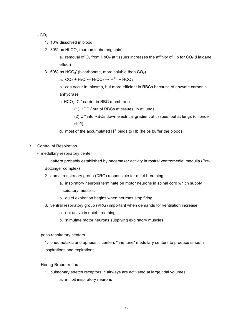$-CO<sub>2</sub>$ 

- 1. 10% dissolved in blood
- 2. 30% as  $HbCO<sub>2</sub>$  (carbaminohemoglobin)

a. removal of  $O_2$  from Hb $O_2$  at tissues increases the affinity of Hb for  $CO_2$  (Haldane effect)

3. 60% as  $HCO<sub>3</sub>$  (bicarbonate, more soluble than  $CO<sub>2</sub>$ )

a. CO<sub>2</sub> + H<sub>2</sub>O  $\leftrightarrow$  H<sub>2</sub>CO<sub>3</sub>  $\leftrightarrow$  H<sup>+</sup> + HCO<sub>3</sub><sup>-</sup>

b. can occur in plasma, but more efficient in RBCs because of enzyme carbonic anhydrase

c.  $HCO<sub>3</sub>$ -Cl<sup>-</sup> carrier in RBC membrane

 $(1)$  HCO<sub>3</sub> out of RBCs at tissues, in at lungs

- (2) Cl- into RBCs down electrical gradient at tissues, out at lungs (chloride shift)
- d. most of the accumulated  $H^+$  binds to Hb (helps buffer the blood)
- Control of Respiration
	- medullary respiratory center
		- 1. pattern probably established by pacemaker activity in rostral ventromedial medulla (Pre-Botzinger complex)
		- 2. dorsal respiratory group (DRG) responsible for quiet breathing
			- a. inspiratory neurons terminate on motor neurons in spinal cord which supply inspiratory muscles
			- b. quiet expiration begins when neurons stop firing
		- 3. ventral respiratory group (VRG) important when demands for ventilation increase
			- a. not active in quiet breathing
			- b. stimulate motor neurons supplying expiratory muscles
	- pons respiratory centers

1. pneumotaxic and apneustic centers "fine tune" medullary centers to produce smooth inspirations and expirations

- Hering-Breuer reflex
	- 1. pulmonary stretch receptors in airways are activated at large tidal volumes
		- a. inhibit inspiratory neurons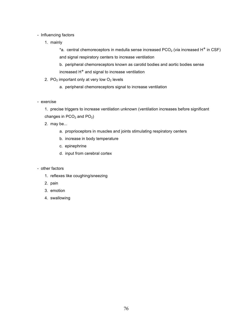# - Influencing factors

1. mainly

\*a. central chemoreceptors in medulla sense increased PCO<sub>2</sub> (via increased H<sup>+</sup> in CSF) and signal respiratory centers to increase ventilation

b. peripheral chemoreceptors known as carotid bodies and aortic bodies sense increased  $H<sup>+</sup>$  and signal to increase ventilation

- 2.  $PO_2$  important only at very low  $O_2$  levels
	- a. peripheral chemoreceptors signal to increase ventilation
- exercise

1. precise triggers to increase ventilation unknown (ventilation increases before significant changes in  $PCO<sub>2</sub>$  and  $PO<sub>2</sub>$ )

2. may be...

- a. proprioceptors in muscles and joints stimulating respiratory centers
- b. increase in body temperature
- c. epinephrine
- d. input from cerebral cortex
- other factors
	- 1. reflexes like coughing/sneezing
	- 2. pain
	- 3. emotion
	- 4. swallowing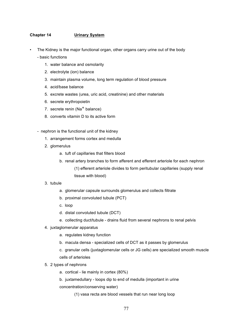# **Chapter 14 Urinary System**

The Kidney is the major functional organ, other organs carry urine out of the body

- basic functions

- 1. water balance and osmolarity
- 2. electrolyte (ion) balance
- 3. maintain plasma volume, long term regulation of blood pressure
- 4. acid/base balance
- 5. excrete wastes (urea, uric acid, creatinine) and other materials
- 6. secrete erythropoietin
- 7. secrete renin (Na<sup>+</sup> balance)
- 8. converts vitamin D to its active form
- nephron is the functional unit of the kidney
	- 1. arrangement forms cortex and medulla
	- 2. glomerulus
		- a. tuft of capillaries that filters blood
		- b. renal artery branches to form afferent and efferent arteriole for each nephron (1) efferent arteriole divides to form peritubular capillaries (supply renal tissue with blood)
	- 3. tubule
		- a. glomerular capsule surrounds glomerulus and collects filtrate
		- b. proximal convoluted tubule (PCT)
		- c. loop
		- d. distal convoluted tubule (DCT)
		- e. collecting duct/tubule drains fluid from several nephrons to renal pelvis
	- 4. juxtaglomerular apparatus
		- a. regulates kidney function
		- b. macula densa specialized cells of DCT as it passes by glomerulus
		- c. granular cells (juxtaglomerular cells or JG cells) are specialized smooth muscle cells of arterioles
	- 5. 2 types of nephrons
		- a. cortical lie mainly in cortex (80%)
		- b. juxtamedullary loops dip to end of medulla (important in urine concentration/conserving water)
			- (1) vasa recta are blood vessels that run near long loop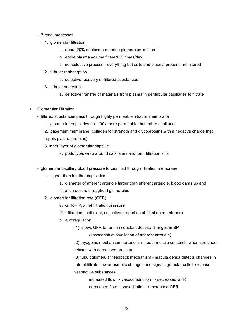- 3 renal processes
	- 1. glomerular filtration
		- a. about 20% of plasma entering glomerulus is filtered
		- b. entire plasma volume filtered 65 times/day
		- c. nonselective process everything but cells and plasma proteins are filtered
	- 2. tubular reabsorption
		- a. selective recovery of filtered substances
	- 3. tubular secretion
		- a. selective transfer of materials from plasma in peritubular capillaries to filtrate
- Glomerular Filtration
	- filtered substances pass through highly permeable filtration membrane
		- 1. glomerular capillaries are 100x more permeable than other capillaries
		- 2. basement membrane (collagen for strength and glycoproteins with a negative charge that repels plasma proteins)
		- 3. inner layer of glomerular capsule
			- a. podocytes wrap around capillaries and form filtration slits
	- glomerular capillary blood pressure forces fluid through filtration membrane
		- 1. higher than in other capillaries
			- a. diameter of afferent arteriole larger than efferent arteriole, blood dams up and filtration occurs throughout glomerulus
		- 2. glomerular filtration rate (GFR)
			- a. GFR =  $K_f x$  net filtration pressure

 $(K_f=$  filtration coefficient, collective properties of filtration membrane)

- b. autoregulation
	- (1) allows GFR to remain constant despite changes in BP

(vasoconstriction/dilation of afferent arteriole)

(2) myogenic mechanism - arteriolar smooth muscle constricts when stretched, relaxes with decreased pressure

(3) tubuloglomerular feedback mechanism - macula densa detects changes in

rate of filtrate flow or osmotic changes and signals granular cells to release vasoactive substances

> increased flow  $\rightarrow$  vasoconstriction  $\rightarrow$  decreased GFR decreased flow  $\rightarrow$  vasodilation  $\rightarrow$  increased GFR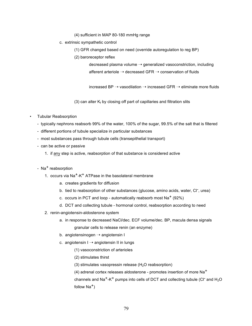(4) sufficient in MAP 80-180 mmHg range

- c. extrinsic sympathetic control
	- (1) GFR changed based on need (override autoregulation to reg BP)
	- (2) baroreceptor reflex

decreased plasma volume  $\rightarrow$  generalized vasoconstriction, including afferent arteriole  $\rightarrow$  decreased GFR  $\rightarrow$  conservation of fluids

increased BP  $\rightarrow$  vasodilation  $\rightarrow$  increased GFR  $\rightarrow$  eliminate more fluids

(3) can alter  $K_f$  by closing off part of capillaries and filtration slits

- Tubular Reabsorption
	- typically nephrons reabsorb 99% of the water, 100% of the sugar, 99.5% of the salt that is filtered
	- different portions of tubule specialize in particular substances
	- most substances pass through tubule cells (transepithelial transport)
	- can be active or passive
		- 1. if any step is active, reabsorption of that substance is considered active
	- Na<sup>+</sup> reabsorption
		- 1. occurs via  $Na<sup>+</sup>-K<sup>+</sup> ATPase$  in the basolateral membrane
			- a. creates gradients for diffusion
			- b. tied to reabsorption of other substances (glucose, amino acids, water, CI<sup>-</sup>, urea)
			- c. occurs in PCT and loop automatically reabsorb most  $Na<sup>+</sup>$  (92%)
			- d. DCT and collecting tubule hormonal control, reabsorption according to need
		- 2. renin-angiotensin-aldosterone system
			- a. in response to decreased NaCl/dec. ECF volume/dec. BP, macula densa signals granular cells to release renin (an enzyme)
			- b. angiotensinogen  $\rightarrow$  angiotensin I
			- c. angiotensin  $I \rightarrow$  angiotensin II in lungs
				- (1) vasoconstriction of arterioles
				- (2) stimulates thirst
				- (3) stimulates vasopressin release ( $H_2O$  reabsorption)
				- (4) adrenal cortex releases aldosterone promotes insertion of more  $Na<sup>+</sup>$

channels and Na<sup>+</sup>-K<sup>+</sup> pumps into cells of DCT and collecting tubule (CI<sup>-</sup> and H<sub>2</sub>O follow  $Na<sup>+</sup>$ )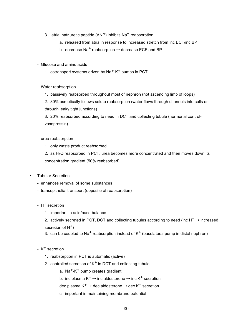- 3. atrial natriuretic peptide (ANP) inhibits  $Na<sup>+</sup>$  reabsorption
	- a. released from atria in response to increased stretch from inc ECF/inc BP
	- b. decrease Na<sup>+</sup> reabsorption  $\rightarrow$  decrease ECF and BP
- Glucose and amino acids
	- 1. cotransport systems driven by  $\text{Na}^+\text{-K}^+$  pumps in PCT
- Water reabsorption
	- 1. passively reabsorbed throughout most of nephron (not ascending limb of loops)

2. 80% osmotically follows solute reabsorption (water flows through channels into cells or through leaky tight junctions)

3. 20% reabsorbed according to need in DCT and collecting tubule (hormonal controlvasopressin)

#### - urea reabsorption

1. only waste product reabsorbed

2. as  $H_2O$  reabsorbed in PCT, urea becomes more concentrated and then moves down its concentration gradient (50% reabsorbed)

- Tubular Secretion
	- enhances removal of some substances
	- transepithelial transport (opposite of reabsorption)
	- $-$  H<sup>+</sup> secretion
		- 1. important in acid/base balance
		- 2. actively secreted in PCT, DCT and collecting tubules according to need (inc  $H^+ \rightarrow$  increased secretion of  $H^+$ )
		- 3. can be coupled to Na<sup>+</sup> reabsorption instead of  $K^+$  (basolateral pump in distal nephron)
	- $-K^+$  secretion
		- 1. reabsorption in PCT is automatic (active)
		- 2. controlled secretion of  $K^+$  in DCT and collecting tubule
			- a. Na<sup>+</sup>-K<sup>+</sup> pump creates gradient
			- b. inc plasma  $K^+ \rightarrow$  inc aldosterone  $\rightarrow$  inc  $K^+$  secretion
			- dec plasma  $K^+ \rightarrow$  dec aldosterone  $\rightarrow$  dec  $K^+$  secretion
			- c. important in maintaining membrane potential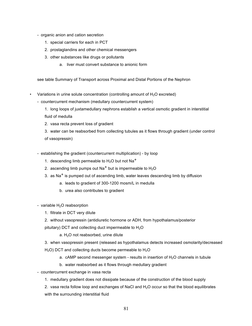- organic anion and cation secretion
	- 1. special carriers for each in PCT
	- 2. prostaglandins and other chemical messengers
	- 3. other substances like drugs or pollutants
		- a. liver must convert substance to anionic form

see table Summary of Transport across Proximal and Distal Portions of the Nephron

- Variations in urine solute concentration (controlling amount of  $H_2O$  excreted)
	- countercurrent mechanism (medullary countercurrent system)
		- 1. long loops of juxtamedullary nephrons establish a vertical osmotic gradient in interstitial fluid of medulla
		- 2. vasa recta prevent loss of gradient

3. water can be reabsorbed from collecting tubules as it flows through gradient (under control of vasopressin)

- establishing the gradient (countercurrent multiplication) by loop
	- 1. descending limb permeable to  $H_2O$  but not Na<sup>+</sup>
	- 2. ascending limb pumps out Na<sup>+</sup> but is impermeable to  $H_2O$
	- 3. as  $\text{Na}^+$  is pumped out of ascending limb, water leaves descending limb by diffusion
		- a. leads to gradient of 300-1200 mosm/L in medulla
		- b. urea also contributes to gradient
- variable  $H<sub>2</sub>O$  reabsorption
	- 1. filtrate in DCT very dilute
	- 2. without vasopressin (antidiuretic hormone or ADH, from hypothalamus/posterior

pituitary) DCT and collecting duct impermeable to  $H_2O$ 

 $a. H<sub>2</sub>O$  not reabsorbed, urine dilute

3. when vasopressin present (released as hypothalamus detects increased osmolarity/decreased

- $H<sub>2</sub>O$ ) DCT and collecting ducts become permeable to  $H<sub>2</sub>O$ 
	- a. cAMP second messenger system results in insertion of  $H<sub>2</sub>O$  channels in tubule
	- b. water reabsorbed as it flows through medullary gradient
- countercurrent exchange in vasa recta
	- 1. medullary gradient does not dissipate because of the construction of the blood supply

2. vasa recta follow loop and exchanges of NaCl and  $H_2O$  occur so that the blood equilibrates with the surrounding interstitial fluid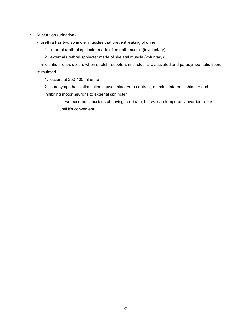- Micturition (urination)
	- urethra has two sphincter muscles that prevent leaking of urine
		- 1. internal urethral sphincter made of smooth muscle (involuntary)
		- 2. external urethral sphincter made of skeletal muscle (voluntary)

- micturition reflex occurs when stretch receptors in bladder are activated and parasympathetic fibers stimulated

1. occurs at 250-400 ml urine

2. parasympathetic stimulation causes bladder to contract, opening internal sphincter and inhibiting motor neurons to external sphincter

a. we become conscious of having to urinate, but we can temporarily override reflex until it's convenient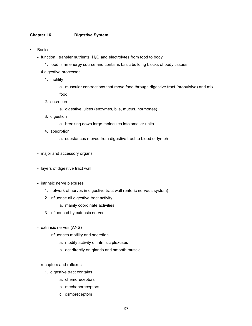## **Chapter 16 Digestive System**

- **Basics** 
	- function: transfer nutrients,  $H_2O$  and electrolytes from food to body
		- 1. food is an energy source and contains basic building blocks of body tissues
	- 4 digestive processes
		- 1. motility
			- a. muscular contractions that move food through digestive tract (propulsive) and mix food
		- 2. secretion
			- a. digestive juices (enzymes, bile, mucus, hormones)
		- 3. digestion
			- a. breaking down large molecules into smaller units
		- 4. absorption
			- a. substances moved from digestive tract to blood or lymph
	- major and accessory organs
	- layers of digestive tract wall
	- intrinsic nerve plexuses
		- 1. network of nerves in digestive tract wall (enteric nervous system)
		- 2. influence all digestive tract activity
			- a. mainly coordinate activities
		- 3. influenced by extrinsic nerves
	- extrinsic nerves (ANS)
		- 1. influences motility and secretion
			- a. modify activity of intrinsic plexuses
			- b. act directly on glands and smooth muscle
	- receptors and reflexes
		- 1. digestive tract contains
			- a. chemoreceptors
			- b. mechanoreceptors
			- c. osmoreceptors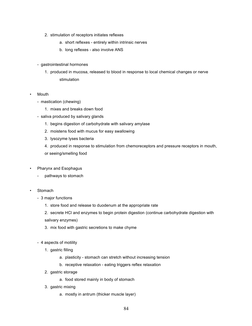- 2. stimulation of receptors initiates reflexes
	- a. short reflexes entirely within intrinsic nerves
	- b. long reflexes also involve ANS
- gastrointestinal hormones
	- 1. produced in mucosa, released to blood in response to local chemical changes or nerve stimulation
- **Mouth** 
	- mastication (chewing)
		- 1. mixes and breaks down food
	- saliva produced by salivary glands
		- 1. begins digestion of carbohydrate with salivary amylase
		- 2. moistens food with mucus for easy swallowing
		- 3. lysozyme lyses bacteria
		- 4. produced in response to stimulation from chemoreceptors and pressure receptors in mouth, or seeing/smelling food
- Pharynx and Esophagus
	- pathways to stomach
- **Stomach** 
	- 3 major functions
		- 1. store food and release to duodenum at the appropriate rate
		- 2. secrete HCl and enzymes to begin protein digestion (continue carbohydrate digestion with salivary enzymes)
		- 3. mix food with gastric secretions to make chyme
	- 4 aspects of motility
		- 1. gastric filling
			- a. plasticity stomach can stretch without increasing tension
			- b. receptive relaxation eating triggers reflex relaxation
		- 2. gastric storage
			- a. food stored mainly in body of stomach
		- 3. gastric mixing
			- a. mostly in antrum (thicker muscle layer)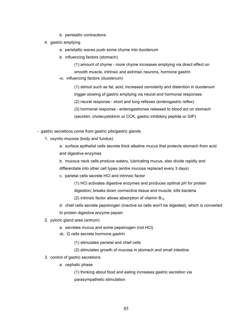- b. peristaltic contractions
- 4. gastric emptying
	- a. peristaltic waves push some chyme into duodenum
	- b. influencing factors (stomach)

(1) amount of chyme - more chyme increases emptying via direct effect on

smooth muscle, intrinsic and extrinsic neurons, hormone gastrin **\***c. influencing factors (duodenum)

> (1) stimuli such as fat, acid, increased osmolarity and distention in duodenum trigger slowing of gastric emptying via neural and hormonal responses (2) neural response - short and long reflexes (enterogastric reflex) (3) hormonal response - enterogastrones released to blood act on stomach (secretin, cholecystokinin or CCK, gastric inhibitory peptide or GIP)

- gastric secretions come from gastric pits/gastric glands
	- 1. oxyntic mucosa (body and fundus)

a. surface epithelial cells secrete thick alkaline mucus that protects stomach from acid and digestive enzymes

- b. mucous neck cells produce watery, lubricating mucus, also divide rapidly and differentiate into other cell types (entire mucosa replaced every 3 days)
- c. parietal cells secrete HCl and intrinsic factor

(1) HCl activates digestive enzymes and produces optimal pH for protein

digestion; breaks down connective tissue and muscle; kills bacteria

(2) intrinsic factor allows absorption of vitamin  $B_{12}$ 

- d. chief cells secrete pepsinogen (inactive so cells won't be digested), which is converted to protein digestive enzyme pepsin
- 2. pyloric gland area (antrum)
	- a. secretes mucus and some pepsinogen (not HCl)
	- **\***b. G cells secrete hormone gastrin
		- (1) stimulates parietal and chief cells
		- (2) stimulates growth of mucosa in stomach and small intestine
- 3. control of gastric secretions
	- a. cephalic phase

(1) thinking about food and eating increases gastric secretion via parasympathetic stimulation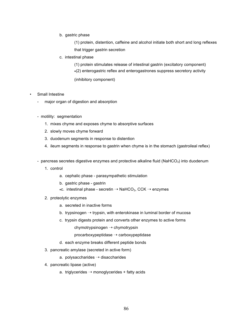#### b. gastric phase

(1) protein, distention, caffeine and alcohol initiate both short and long reflexes that trigger gastrin secretion

c. intestinal phase

(1) protein stimulates release of intestinal gastrin (excitatory component) **\***(2) enterogastric reflex and enterogastrones suppress secretory activity

(inhibitory component)

### Small Intestine

- major organ of digestion and absorption
- motility: segmentation
	- 1. mixes chyme and exposes chyme to absorptive surfaces
	- 2. slowly moves chyme forward
	- 3. duodenum segments in response to distention
	- 4. ileum segments in response to gastrin when chyme is in the stomach (gastroileal reflex)
- pancreas secretes digestive enzymes and protective alkaline fluid (NaHCO $_3$ ) into duodenum
	- 1. control
		- a. cephalic phase parasympathetic stimulation
		- b. gastric phase gastrin
		- **\***c. intestinal phase secretin ➝ NaHCO3, CCK ➝ enzymes
	- 2. proteolytic enzymes
		- a. secreted in inactive forms
		- b. trypsinogen  $\rightarrow$  trypsin, with enterokinase in luminal border of mucosa
		- c. trypsin digests protein and converts other enzymes to active forms

chymotrypsinogen ➝ chymotrypsin

 $procarboxypeptidase \rightarrow carboxypeptidase$ 

- d. each enzyme breaks different peptide bonds
- 3. pancreatic amylase (secreted in active form)
	- a. polysaccharides  $\rightarrow$  disaccharides
- 4. pancreatic lipase (active)
	- a. triglycerides  $\rightarrow$  monoglycerides + fatty acids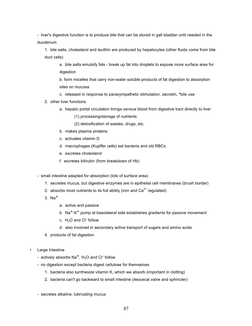- liver's digestive function is to produce bile that can be stored in gall bladder until needed in the duodenum

1. bile salts, cholesterol and lecithin are produced by hepatocytes (other fluids come from bile duct cells)

a. bile salts emulsify fats - break up fat into droplets to expose more surface area for digestion

b. form micelles that carry non-water soluble products of fat digestion to absorption sites on mucosa

- c. released in response to parasympathetic stimulation, secretin, **\***bile use
- 2. other liver functions
	- a. hepatic portal circulation brings venous blood from digestive tract directly to liver
		- (1) processing/storage of nutrients
		- (2) detoxification of wastes, drugs, etc.
	- b. makes plasma proteins
	- c. activates vitamin D
	- d. macrophages (Kupffer cells) eat bacteria and old RBCs
	- e. excretes cholesterol
	- f. excretes bilirubin (from breakdown of Hb)

- small intestine adapted for absorption (lots of surface area)

- 1. secretes mucus, but digestive enzymes are in epithelial cell membranes (brush border)
- 2. absorbs most nutrients to its full ability (iron and  $Ca<sup>2+</sup>$  regulated)
- $3.$  Na<sup>+</sup>
	- a. active and passive
	- b. Na<sup>+</sup>-K<sup>+</sup> pump at basolateral side establishes gradients for passive movement
	- c.  $H_2O$  and Cl<sup>-</sup> follow
	- d. also involved in secondary active transport of sugars and amino acids
- 4. products of fat digestion
- **Large Intestine** 
	- actively absorbs  $Na<sup>+</sup>$ , H<sub>2</sub>O and Cl<sup>-</sup> follow
	- no digestion except bacteria digest cellulose for themselves
		- 1. bacteria also synthesize vitamin K, which we absorb (important in clotting)
		- 2. bacteria can't go backward to small intestine (ileocecal valve and sphincter)
	- secretes alkaline, lubricating mucus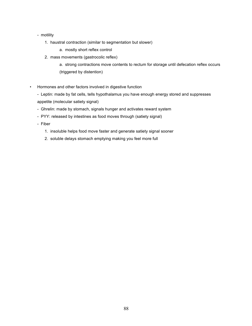- motility
	- 1. haustral contraction (similar to segmentation but slower)
		- a. mostly short reflex control
	- 2. mass movements (gastrocolic reflex)
		- a. strong contractions move contents to rectum for storage until defecation reflex occurs (triggered by distention)
- Hormones and other factors involved in digestive function
	- Leptin: made by fat cells, tells hypothalamus you have enough energy stored and suppresses appetite (molecular satiety signal)
	- Ghrelin: made by stomach, signals hunger and activates reward system
	- PYY: released by intestines as food moves through (satiety signal)
	- Fiber
		- 1. insoluble helps food move faster and generate satiety signal sooner
		- 2. soluble delays stomach emptying making you feel more full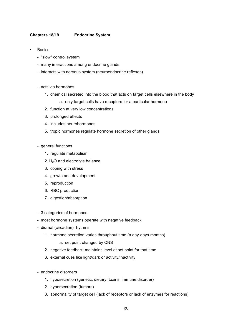## **Chapters 18/19 Endocrine System**

- **Basics** 
	- "slow" control system
	- many interactions among endocrine glands
	- interacts with nervous system (neuroendocrine reflexes)
	- acts via hormones
		- 1. chemical secreted into the blood that acts on target cells elsewhere in the body
			- a. only target cells have receptors for a particular hormone
		- 2. function at very low concentrations
		- 3. prolonged effects
		- 4. includes neurohormones
		- 5. tropic hormones regulate hormone secretion of other glands
	- general functions
		- 1. regulate metabolism
		- 2.  $H<sub>2</sub>O$  and electrolyte balance
		- 3. coping with stress
		- 4. growth and development
		- 5. reproduction
		- 6. RBC production
		- 7. digestion/absorption
	- 3 categories of hormones
	- most hormone systems operate with negative feedback
	- diurnal (circadian) rhythms
		- 1. hormone secretion varies throughout time (a day-days-months)
			- a. set point changed by CNS
		- 2. negative feedback maintains level at set point for that time
		- 3. external cues like light/dark or activity/inactivity
	- endocrine disorders
		- 1. hyposecretion (genetic, dietary, toxins, immune disorder)
		- 2. hypersecretion (tumors)
		- 3. abnormality of target cell (lack of receptors or lack of enzymes for reactions)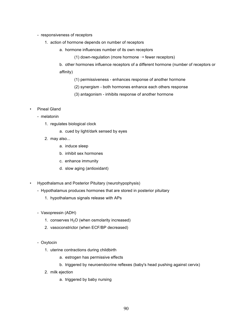- responsiveness of receptors
	- 1. action of hormone depends on number of receptors
		- a. hormone influences number of its own receptors
			- (1) down-regulation (more hormone  $\rightarrow$  fewer receptors)

b. other hormones influence receptors of a different hormone (number of receptors or affinity)

- (1) permissiveness enhances response of another hormone
- (2) synergism both hormones enhance each others response
- (3) antagonism inhibits response of another hormone
- Pineal Gland
	- melatonin
		- 1. regulates biological clock
			- a. cued by light/dark sensed by eyes
		- 2. may also...
			- a. induce sleep
			- b. inhibit sex hormones
			- c. enhance immunity
			- d. slow aging (antioxidant)
- Hypothalamus and Posterior Pituitary (neurohypophysis)
	- Hypothalamus produces hormones that are stored in posterior pituitary
		- 1. hypothalamus signals release with APs
	- Vasopressin (ADH)
		- 1. conserves  $H_2O$  (when osmolarity increased)
		- 2. vasoconstrictor (when ECF/BP decreased)
	- Oxytocin
		- 1. uterine contractions during childbirth
			- a. estrogen has permissive effects
			- b. triggered by neuroendocrine reflexes (baby's head pushing against cervix)
		- 2. milk ejection
			- a. triggered by baby nursing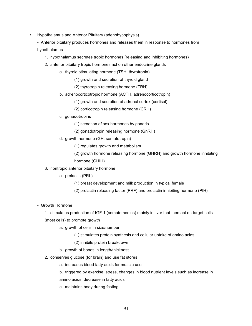• Hypothalamus and Anterior Pituitary (adenohypophysis)

- Anterior pituitary produces hormones and releases them in response to hormones from hypothalamus

- 1. hypothalamus secretes tropic hormones (releasing and inhibiting hormones)
- 2. anterior pituitary tropic hormones act on other endocrine glands
	- a. thyroid stimulating hormone (TSH, thyrotropin)
		- (1) growth and secretion of thyroid gland
		- (2) thyrotropin releasing hormone (TRH)
	- b. adrenocorticotropic hormone (ACTH, adrenocorticotropin)
		- (1) growth and secretion of adrenal cortex (cortisol)
		- (2) corticotropin releasing hormone (CRH)
	- c. gonadotropins
		- (1) secretion of sex hormones by gonads
		- (2) gonadotropin releasing hormone (GnRH)
	- d. growth hormone (GH, somatotropin)
		- (1) regulates growth and metabolism
		- (2) growth hormone releasing hormone (GHRH) and growth hormone inhibiting hormone (GHIH)
- 3. nontropic anterior pituitary hormone
	- a. prolactin (PRL)
		- (1) breast development and milk production in typical female
		- (2) prolactin releasing factor (PRF) and prolactin inhibiting hormone (PIH)
- Growth Hormone

1. stimulates production of IGF-1 (somatomedins) mainly in liver that then act on target cells (most cells) to promote growth

- a. growth of cells in size/number
	- (1) stimulates protein synthesis and cellular uptake of amino acids
	- (2) inhibits protein breakdown
- b. growth of bones in length/thickness
- 2. conserves glucose (for brain) and use fat stores
	- a. increases blood fatty acids for muscle use
	- b. triggered by exercise, stress, changes in blood nutrient levels such as increase in amino acids, decrease in fatty acids
	- c. maintains body during fasting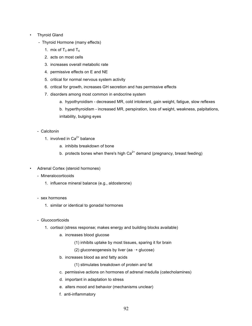# • Thyroid Gland

- Thyroid Hormone (many effects)
	- 1. mix of  $T_3$  and  $T_4$
	- 2. acts on most cells
	- 3. increases overall metabolic rate
	- 4. permissive effects on E and NE
	- 5. critical for normal nervous system activity
	- 6. critical for growth, increases GH secretion and has permissive effects
	- 7. disorders among most common in endocrine system
		- a. hypothyroidism decreased MR, cold intolerant, gain weight, fatigue, slow reflexes
		- b. hyperthyroidism increased MR, perspiration, loss of weight, weakness, palpitations, irritability, bulging eyes
- Calcitonin
	- 1. involved in  $Ca^{2+}$  balance
		- a. inhibits breakdown of bone
		- b. protects bones when there's high  $Ca<sup>2+</sup>$  demand (pregnancy, breast feeding)
- Adrenal Cortex (steroid hormones)
	- Mineralocorticoids
		- 1. influence mineral balance (e.g., aldosterone)
	- sex hormones
		- 1. similar or identical to gonadal hormones
	- Glucocorticoids
		- 1. cortisol (stress response; makes energy and building blocks available)
			- a. increases blood glucose
				- (1) inhibits uptake by most tissues, sparing it for brain
				- (2) gluconeogenesis by liver (aa  $\rightarrow$  glucose)
			- b. increases blood aa and fatty acids
				- (1) stimulates breakdown of protein and fat
			- c. permissive actions on hormones of adrenal medulla (catecholamines)
			- d. important in adaptation to stress
			- e. alters mood and behavior (mechanisms unclear)
			- f. anti-inflammatory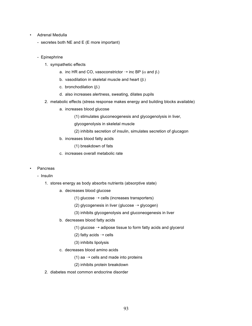- Adrenal Medulla
	- secretes both NE and E (E more important)
	- Epinephrine
		- 1. sympathetic effects
			- a. inc HR and CO, vasoconstrictor  $\rightarrow$  inc BP ( $\alpha$  and  $\beta$ .)
			- b. vasodilation in skeletal muscle and heart  $(\beta_2)$
			- c. bronchodilation  $(\beta_2)$
			- d. also increases alertness, sweating, dilates pupils
		- 2. metabolic effects (stress response makes energy and building blocks available)
			- a. increases blood glucose
				- (1) stimulates gluconeogenesis and glycogenolysis in liver,
				- glycogenolysis in skeletal muscle
				- (2) inhibits secretion of insulin, simulates secretion of glucagon
			- b. increases blood fatty acids
				- (1) breakdown of fats
			- c. increases overall metabolic rate
- **Pancreas** 
	- Insulin
		- 1. stores energy as body absorbs nutrients (absorptive state)
			- a. decreases blood glucose
				- (1) glucose  $\rightarrow$  cells (increases transporters)
				- (2) glycogenesis in liver (glucose  $\rightarrow$  glycogen)
				- (3) inhibits glycogenolysis and gluconeogenesis in liver
			- b. decreases blood fatty acids
				- (1) glucose  $\rightarrow$  adipose tissue to form fatty acids and glycerol
				- (2) fatty acids  $\rightarrow$  cells
				- (3) inhibits lipolysis
			- c. decreases blood amino acids
				- (1) aa  $\rightarrow$  cells and made into proteins
				- (2) inhibits protein breakdown
		- 2. diabetes most common endocrine disorder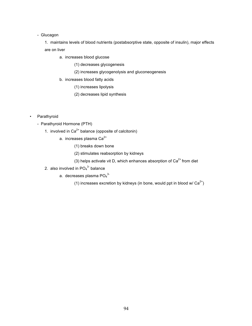### - Glucagon

1. maintains levels of blood nutrients (postabsorptive state, opposite of insulin), major effects are on liver

- a. increases blood glucose
	- (1) decreases glycogenesis
	- (2) increases glycogenolysis and gluconeogenesis
- b. increases blood fatty acids
	- (1) increases lipolysis
	- (2) decreases lipid synthesis

# • Parathyroid

- Parathyroid Hormone (PTH)
	- 1. involved in  $Ca^{2+}$  balance (opposite of calcitonin)
		- a. increases plasma  $Ca^{2+}$ 
			- (1) breaks down bone
			- (2) stimulates reabsorption by kidneys
			- (3) helps activate vit D, which enhances absorption of  $Ca<sup>2+</sup>$  from diet
	- 2. also involved in  $PO<sub>4</sub><sup>3</sup>$  balance
		- a. decreases plasma PO $_4$ <sup>3-</sup>
			- (1) increases excretion by kidneys (in bone, would ppt in blood w/  $Ca^{2+}$ )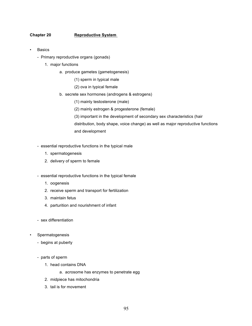# **Chapter 20 Reproductive System**

- **Basics** 
	- Primary reproductive organs (gonads)
		- 1. major functions
			- a. produce gametes (gametogenesis)
				- (1) sperm in typical male
				- (2) ova in typical female
			- b. secrete sex hormones (androgens & estrogens)
				- (1) mainly testosterone (male)
				- (2) mainly estrogen & progesterone (female)
				- (3) important in the development of secondary sex characteristics (hair distribution, body shape, voice change) as well as major reproductive functions and development
	- essential reproductive functions in the typical male
		- 1. spermatogenesis
		- 2. delivery of sperm to female
	- essential reproductive functions in the typical female
		- 1. oogenesis
		- 2. receive sperm and transport for fertilization
		- 3. maintain fetus
		- 4. parturition and nourishment of infant
	- sex differentiation
- **Spermatogenesis** 
	- begins at puberty
	- parts of sperm
		- 1. head contains DNA
			- a. acrosome has enzymes to penetrate egg
		- 2. midpiece has mitochondria
		- 3. tail is for movement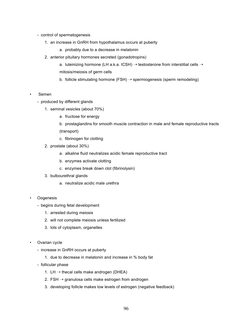- control of spermatogenesis
	- 1. an increase in GnRH from hypothalamus occurs at puberty
		- a. probably due to a decrease in melatonin
	- 2. anterior pituitary hormones secreted (gonadotropins)
		- a. luteinizing hormone (LH a.k.a. ICSH)  $\rightarrow$  testosterone from interstitial cells  $\rightarrow$ mitosis/meiosis of germ cells
		- b. follicle stimulating hormone (FSH)  $\rightarrow$  spermiogenesis (sperm remodeling)
- **Semen** 
	- produced by different glands
		- 1. seminal vesicles (about 70%)
			- a. fructose for energy
			- b. prostaglandins for smooth muscle contraction in male and female reproductive tracts (transport)
			- c. fibrinogen for clotting
		- 2. prostate (about 30%)
			- a. alkaline fluid neutralizes acidic female reproductive tract
			- b. enzymes activate clotting
			- c. enzymes break down clot (fibrinolysin)
		- 3. bulbourethral glands
			- a. neutralize acidic male urethra
- **Oogenesis** 
	- begins during fetal development
		- 1. arrested during meiosis
		- 2. will not complete meiosis unless fertilized
		- 3. lots of cytoplasm, organelles
- Ovarian cycle
	- increase in GnRH occurs at puberty
		- 1. due to decrease in melatonin and increase in % body fat
	- follicular phase
		- 1. LH  $\rightarrow$  thecal cells make androgen (DHEA)
		- 2.  $FSH \rightarrow$  granulosa cells make estrogen from androgen
		- 3. developing follicle makes low levels of estrogen (negative feedback)